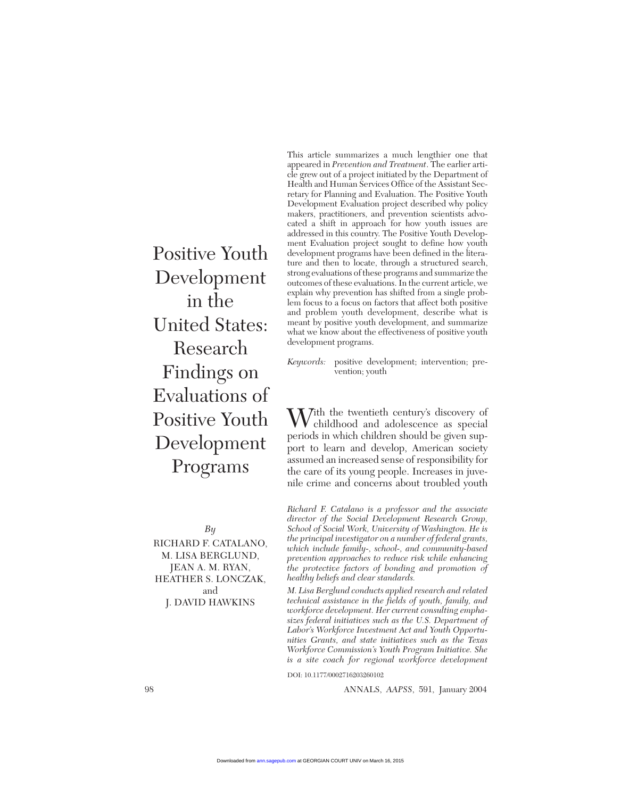# Positive Youth Development in the United States: Research Findings on Evaluations of Positive Youth Development Programs

### *By*

RICHARD F. CATALANO, M. LISA BERGLUND, JEAN A. M. RYAN, HEATHER S. LONCZAK, and J. DAVID HAWKINS

This article summarizes a much lengthier one that appeared in *Prevention and Treatment*. The earlier article grew out of a project initiated by the Department of Health and Human Services Office of the Assistant Secretary for Planning and Evaluation. The Positive Youth Development Evaluation project described why policy makers, practitioners, and prevention scientists advocated a shift in approach for how youth issues are addressed in this country. The Positive Youth Development Evaluation project sought to define how youth development programs have been defined in the literature and then to locate, through a structured search, strong evaluations of these programs and summarize the outcomes of these evaluations. In the current article, we explain why prevention has shifted from a single problem focus to a focus on factors that affect both positive and problem youth development, describe what is meant by positive youth development, and summarize what we know about the effectiveness of positive youth development programs.

*Keywords:* positive development; intervention; prevention; youth

 $\sum_{n=1}^{\infty}$  ith the twentieth century's discovery of childhood and adolescence as special periods in which children should be given support to learn and develop, American society assumed an increased sense of responsibility for the care of its young people. Increases in juvenile crime and concerns about troubled youth

*Richard F. Catalano is a professor and the associate director of the Social Development Research Group, School of Social Work, University of Washington. He is the principal investigator on a number of federal grants, which include family-, school-, and community-based prevention approaches to reduce risk while enhancing the protective factors of bonding and promotion of healthy beliefs and clear standards.*

*M. Lisa Berglund conducts applied research and related technical assistance in the fields of youth, family, and workforce development. Her current consulting emphasizes federal initiatives such as the U.S. Department of Labor's Workforce Investment Act and Youth Opportunities Grants, and state initiatives such as the Texas Workforce Commission's Youth Program Initiative. She is a site coach for regional workforce development*

DOI: 10.1177/0002716203260102

98 ANNALS, *AAPSS*, 591, January 2004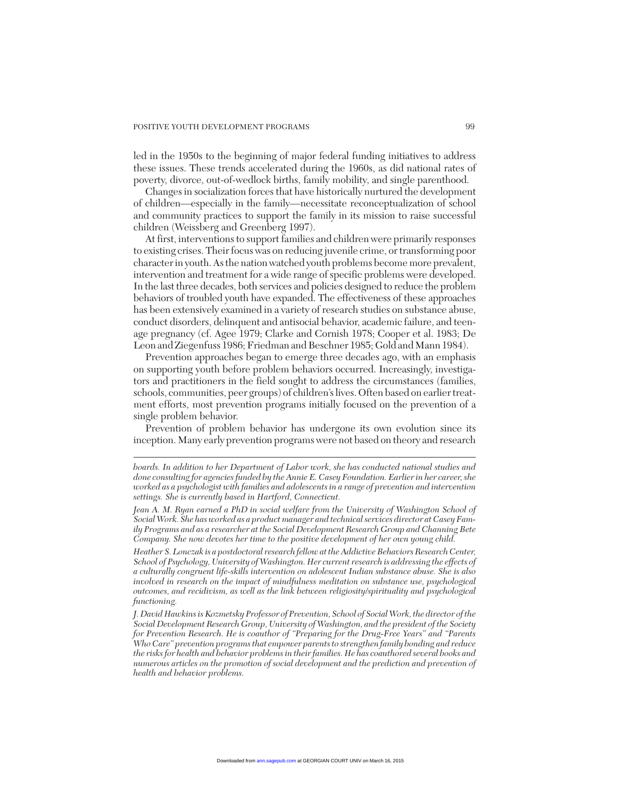led in the 1950s to the beginning of major federal funding initiatives to address these issues. These trends accelerated during the 1960s, as did national rates of poverty, divorce, out-of-wedlock births, family mobility, and single parenthood.

Changes in socialization forces that have historically nurtured the development of children—especially in the family—necessitate reconceptualization of school and community practices to support the family in its mission to raise successful children (Weissberg and Greenberg 1997).

At first, interventions to support families and children were primarily responses to existing crises. Their focus was on reducing juvenile crime, or transforming poor character in youth. As the nation watched youth problems become more prevalent, intervention and treatment for a wide range of specific problems were developed. In the last three decades, both services and policies designed to reduce the problem behaviors of troubled youth have expanded. The effectiveness of these approaches has been extensively examined in a variety of research studies on substance abuse, conduct disorders, delinquent and antisocial behavior, academic failure, and teenage pregnancy (cf. Agee 1979; Clarke and Cornish 1978; Cooper et al. 1983; De Leon and Ziegenfuss 1986; Friedman and Beschner 1985; Gold and Mann 1984).

Prevention approaches began to emerge three decades ago, with an emphasis on supporting youth before problem behaviors occurred. Increasingly, investigators and practitioners in the field sought to address the circumstances (families, schools, communities, peer groups) of children's lives. Often based on earlier treatment efforts, most prevention programs initially focused on the prevention of a single problem behavior.

Prevention of problem behavior has undergone its own evolution since its inception. Many early prevention programs were not based on theory and research

*Heather S. Lonczak is a postdoctoral research fellow at the Addictive Behaviors Research Center, School of Psychology, University of Washington. Her current research is addressing the effects of a culturally congruent life-skills intervention on adolescent Indian substance abuse. She is also involved in research on the impact of mindfulness meditation on substance use, psychological outcomes, and recidivism, as well as the link between religiosity/spirituality and psychological functioning.*

*J. David Hawkins is Kozmetsky Professor of Prevention, School of Social Work, the director of the Social Development Research Group, University of Washington, and the president of the Society for Prevention Research. He is coauthor of "Preparing for the Drug-Free Years" and "Parents Who Care" prevention programs that empower parents to strengthen family bonding and reduce the risks for health and behavior problems in their families. He has coauthored several books and numerous articles on the promotion of social development and the prediction and prevention of health and behavior problems.*

*boards. In addition to her Department of Labor work, she has conducted national studies and done consulting for agencies funded by the Annie E. Casey Foundation. Earlier in her career, she worked as a psychologist with families and adolescents in a range of prevention and intervention settings. She is currently based in Hartford, Connecticut.*

*Jean A. M. Ryan earned a PhD in social welfare from the University of Washington School of Social Work. She has worked as a product manager and technical services director at Casey Family Programs and as a researcher at the Social Development Research Group and Channing Bete Company. She now devotes her time to the positive development of her own young child.*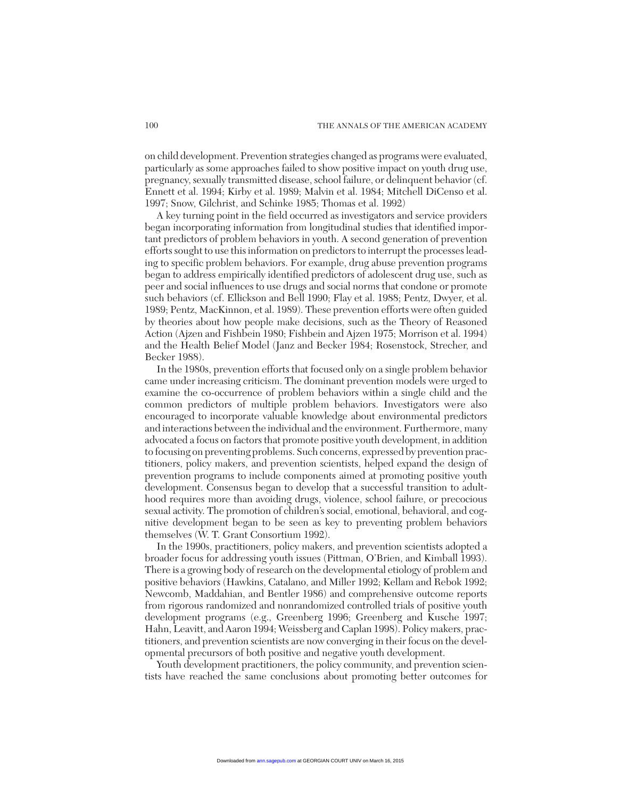on child development. Prevention strategies changed as programs were evaluated, particularly as some approaches failed to show positive impact on youth drug use, pregnancy, sexually transmitted disease, school failure, or delinquent behavior (cf. Ennett et al. 1994; Kirby et al. 1989; Malvin et al. 1984; Mitchell DiCenso et al. 1997; Snow, Gilchrist, and Schinke 1985; Thomas et al. 1992)

A key turning point in the field occurred as investigators and service providers began incorporating information from longitudinal studies that identified important predictors of problem behaviors in youth. A second generation of prevention efforts sought to use this information on predictors to interrupt the processes leading to specific problem behaviors. For example, drug abuse prevention programs began to address empirically identified predictors of adolescent drug use, such as peer and social influences to use drugs and social norms that condone or promote such behaviors (cf. Ellickson and Bell 1990; Flay et al. 1988; Pentz, Dwyer, et al. 1989; Pentz, MacKinnon, et al. 1989). These prevention efforts were often guided by theories about how people make decisions, such as the Theory of Reasoned Action (Ajzen and Fishbein 1980; Fishbein and Ajzen 1975; Morrison et al. 1994) and the Health Belief Model (Janz and Becker 1984; Rosenstock, Strecher, and Becker 1988).

In the 1980s, prevention efforts that focused only on a single problem behavior came under increasing criticism. The dominant prevention models were urged to examine the co-occurrence of problem behaviors within a single child and the common predictors of multiple problem behaviors. Investigators were also encouraged to incorporate valuable knowledge about environmental predictors and interactions between the individual and the environment. Furthermore, many advocated a focus on factors that promote positive youth development, in addition to focusing on preventing problems. Such concerns, expressed by prevention practitioners, policy makers, and prevention scientists, helped expand the design of prevention programs to include components aimed at promoting positive youth development. Consensus began to develop that a successful transition to adulthood requires more than avoiding drugs, violence, school failure, or precocious sexual activity. The promotion of children's social, emotional, behavioral, and cognitive development began to be seen as key to preventing problem behaviors themselves (W. T. Grant Consortium 1992).

In the 1990s, practitioners, policy makers, and prevention scientists adopted a broader focus for addressing youth issues (Pittman, O'Brien, and Kimball 1993). There is a growing body of research on the developmental etiology of problem and positive behaviors (Hawkins, Catalano, and Miller 1992; Kellam and Rebok 1992; Newcomb, Maddahian, and Bentler 1986) and comprehensive outcome reports from rigorous randomized and nonrandomized controlled trials of positive youth development programs (e.g., Greenberg 1996; Greenberg and Kusche 1997; Hahn, Leavitt, and Aaron 1994; Weissberg and Caplan 1998). Policy makers, practitioners, and prevention scientists are now converging in their focus on the developmental precursors of both positive and negative youth development.

Youth development practitioners, the policy community, and prevention scientists have reached the same conclusions about promoting better outcomes for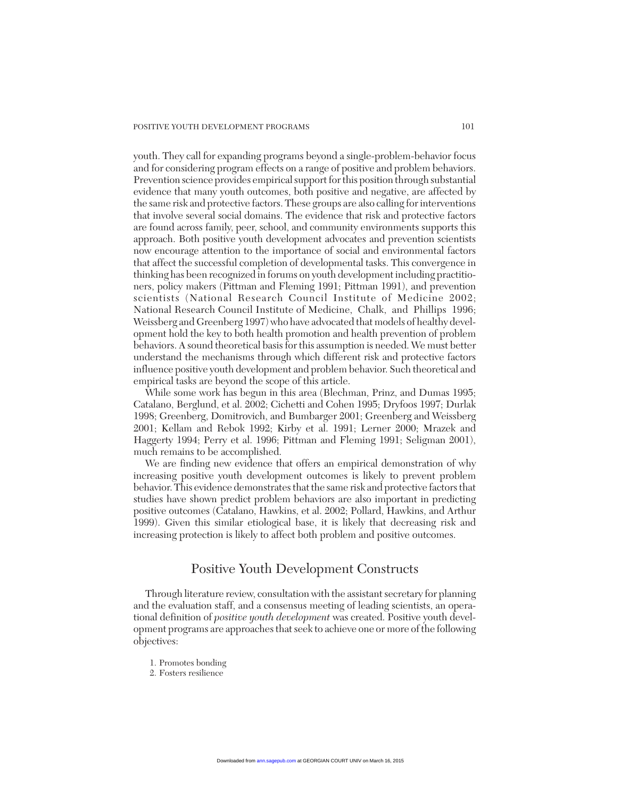youth. They call for expanding programs beyond a single-problem-behavior focus and for considering program effects on a range of positive and problem behaviors. Prevention science provides empirical support for this position through substantial evidence that many youth outcomes, both positive and negative, are affected by the same risk and protective factors. These groups are also calling for interventions that involve several social domains. The evidence that risk and protective factors are found across family, peer, school, and community environments supports this approach. Both positive youth development advocates and prevention scientists now encourage attention to the importance of social and environmental factors that affect the successful completion of developmental tasks. This convergence in thinking has been recognized in forums on youth development including practitioners, policy makers (Pittman and Fleming 1991; Pittman 1991), and prevention scientists (National Research Council Institute of Medicine 2002; National Research Council Institute of Medicine, Chalk, and Phillips 1996; Weissberg and Greenberg 1997) who have advocated that models of healthy development hold the key to both health promotion and health prevention of problem behaviors. A sound theoretical basis for this assumption is needed. We must better understand the mechanisms through which different risk and protective factors influence positive youth development and problem behavior. Such theoretical and empirical tasks are beyond the scope of this article.

While some work has begun in this area (Blechman, Prinz, and Dumas 1995; Catalano, Berglund, et al. 2002; Cichetti and Cohen 1995; Dryfoos 1997; Durlak 1998; Greenberg, Domitrovich, and Bumbarger 2001; Greenberg and Weissberg 2001; Kellam and Rebok 1992; Kirby et al. 1991; Lerner 2000; Mrazek and Haggerty 1994; Perry et al. 1996; Pittman and Fleming 1991; Seligman 2001), much remains to be accomplished.

We are finding new evidence that offers an empirical demonstration of why increasing positive youth development outcomes is likely to prevent problem behavior. This evidence demonstrates that the same risk and protective factors that studies have shown predict problem behaviors are also important in predicting positive outcomes (Catalano, Hawkins, et al. 2002; Pollard, Hawkins, and Arthur 1999). Given this similar etiological base, it is likely that decreasing risk and increasing protection is likely to affect both problem and positive outcomes.

### Positive Youth Development Constructs

Through literature review, consultation with the assistant secretary for planning and the evaluation staff, and a consensus meeting of leading scientists, an operational definition of *positive youth development* was created. Positive youth development programs are approaches that seek to achieve one or more of the following objectives:

- 1. Promotes bonding
- 2. Fosters resilience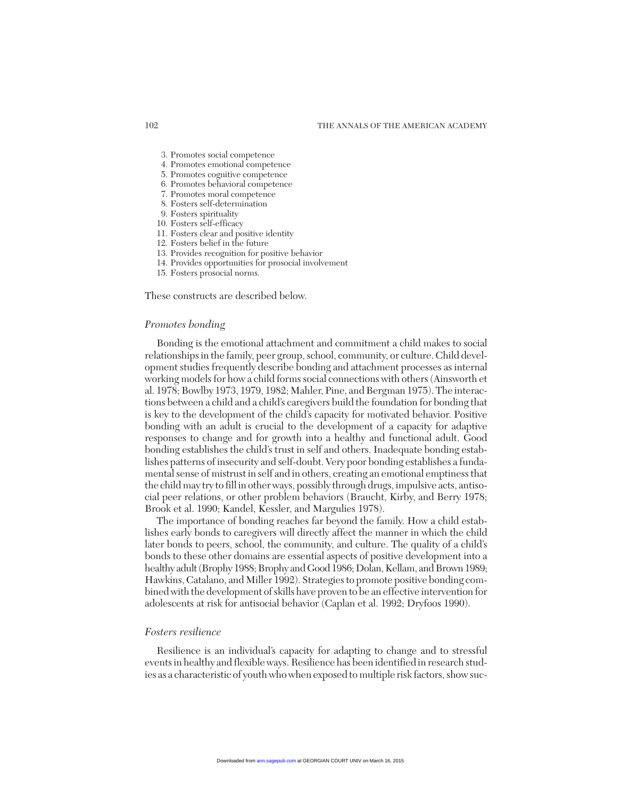#### 102 THE ANNALS OF THE AMERICAN ACADEMY

- 3. Promotes social competence
- 4. Promotes emotional competence
- 5. Promotes cognitive competence
- 6. Promotes behavioral competence
- 7. Promotes moral competence
- 8. Fosters self-determination
- 9. Fosters spirituality
- 10. Fosters self-efficacy 11. Fosters clear and positive identity
- 12. Fosters belief in the future
- 13. Provides recognition for positive behavior
- 14. Provides opportunities for prosocial involvement
- 15. Fosters prosocial norms.

These constructs are described below.

### *Promotes bonding*

Bonding is the emotional attachment and commitment a child makes to social relationships in the family, peer group, school, community, or culture. Child development studies frequently describe bonding and attachment processes as internal working models for how a child forms social connections with others (Ainsworth et al. 1978; Bowlby 1973, 1979, 1982; Mahler, Pine, and Bergman 1975). The interactions between a child and a child's caregivers build the foundation for bonding that is key to the development of the child's capacity for motivated behavior. Positive bonding with an adult is crucial to the development of a capacity for adaptive responses to change and for growth into a healthy and functional adult. Good bonding establishes the child's trust in self and others. Inadequate bonding establishes patterns of insecurity and self-doubt. Very poor bonding establishes a fundamental sense of mistrust in self and in others, creating an emotional emptiness that the child may try to fill in other ways, possibly through drugs, impulsive acts, antisocial peer relations, or other problem behaviors (Braucht, Kirby, and Berry 1978; Brook et al. 1990; Kandel, Kessler, and Margulies 1978).

The importance of bonding reaches far beyond the family. How a child establishes early bonds to caregivers will directly affect the manner in which the child later bonds to peers, school, the community, and culture. The quality of a child's bonds to these other domains are essential aspects of positive development into a healthy adult (Brophy 1988; Brophy and Good 1986; Dolan, Kellam, and Brown 1989; Hawkins, Catalano, and Miller 1992). Strategies to promote positive bonding combined with the development of skills have proven to be an effective intervention for adolescents at risk for antisocial behavior (Caplan et al. 1992; Dryfoos 1990).

### *Fosters resilience*

Resilience is an individual's capacity for adapting to change and to stressful events in healthy and flexible ways. Resilience has been identified in research studies as a characteristic of youth who when exposed to multiple risk factors, show suc-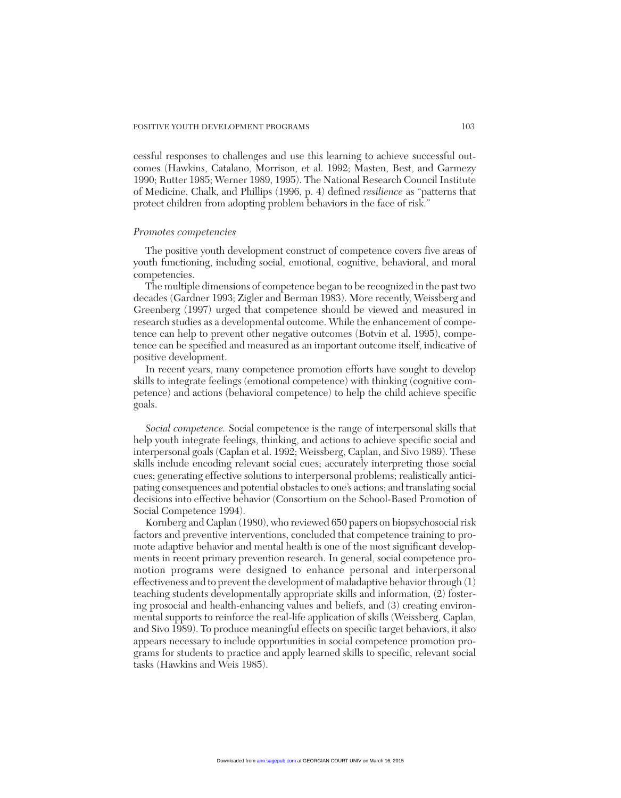cessful responses to challenges and use this learning to achieve successful outcomes (Hawkins, Catalano, Morrison, et al. 1992; Masten, Best, and Garmezy 1990; Rutter 1985; Werner 1989, 1995). The National Research Council Institute of Medicine, Chalk, and Phillips (1996, p. 4) defined *resilience* as "patterns that protect children from adopting problem behaviors in the face of risk."

### *Promotes competencies*

The positive youth development construct of competence covers five areas of youth functioning, including social, emotional, cognitive, behavioral, and moral competencies.

The multiple dimensions of competence began to be recognized in the past two decades (Gardner 1993; Zigler and Berman 1983). More recently, Weissberg and Greenberg (1997) urged that competence should be viewed and measured in research studies as a developmental outcome. While the enhancement of competence can help to prevent other negative outcomes (Botvin et al. 1995), competence can be specified and measured as an important outcome itself, indicative of positive development.

In recent years, many competence promotion efforts have sought to develop skills to integrate feelings (emotional competence) with thinking (cognitive competence) and actions (behavioral competence) to help the child achieve specific goals.

*Social competence.* Social competence is the range of interpersonal skills that help youth integrate feelings, thinking, and actions to achieve specific social and interpersonal goals (Caplan et al. 1992; Weissberg, Caplan, and Sivo 1989). These skills include encoding relevant social cues; accurately interpreting those social cues; generating effective solutions to interpersonal problems; realistically anticipating consequences and potential obstacles to one's actions; and translating social decisions into effective behavior (Consortium on the School-Based Promotion of Social Competence 1994).

Kornberg and Caplan (1980), who reviewed 650 papers on biopsychosocial risk factors and preventive interventions, concluded that competence training to promote adaptive behavior and mental health is one of the most significant developments in recent primary prevention research. In general, social competence promotion programs were designed to enhance personal and interpersonal effectiveness and to prevent the development of maladaptive behavior through (1) teaching students developmentally appropriate skills and information, (2) fostering prosocial and health-enhancing values and beliefs, and (3) creating environmental supports to reinforce the real-life application of skills (Weissberg, Caplan, and Sivo 1989). To produce meaningful effects on specific target behaviors, it also appears necessary to include opportunities in social competence promotion programs for students to practice and apply learned skills to specific, relevant social tasks (Hawkins and Weis 1985).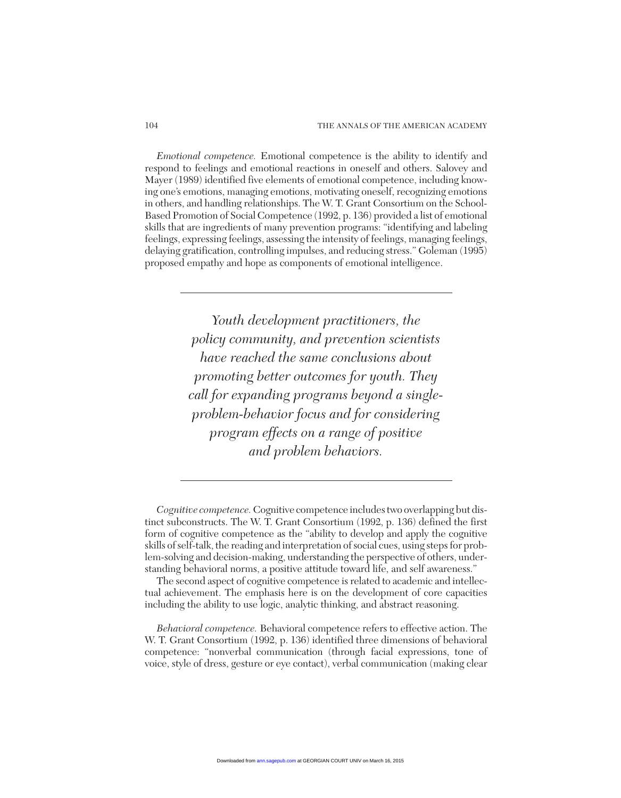*Emotional competence.* Emotional competence is the ability to identify and respond to feelings and emotional reactions in oneself and others. Salovey and Mayer (1989) identified five elements of emotional competence, including knowing one's emotions, managing emotions, motivating oneself, recognizing emotions in others, and handling relationships. The W. T. Grant Consortium on the School-Based Promotion of Social Competence (1992, p. 136) provided a list of emotional skills that are ingredients of many prevention programs: "identifying and labeling feelings, expressing feelings, assessing the intensity of feelings, managing feelings, delaying gratification, controlling impulses, and reducing stress." Goleman (1995) proposed empathy and hope as components of emotional intelligence.

> *Youth development practitioners, the policy community, and prevention scientists have reached the same conclusions about promoting better outcomes for youth. They call for expanding programs beyond a singleproblem-behavior focus and for considering program effects on a range of positive and problem behaviors.*

*Cognitive competence.* Cognitive competence includes two overlapping but distinct subconstructs. The W. T. Grant Consortium (1992, p. 136) defined the first form of cognitive competence as the "ability to develop and apply the cognitive skills of self-talk, the reading and interpretation of social cues, using steps for problem-solving and decision-making, understanding the perspective of others, understanding behavioral norms, a positive attitude toward life, and self awareness."

The second aspect of cognitive competence is related to academic and intellectual achievement. The emphasis here is on the development of core capacities including the ability to use logic, analytic thinking, and abstract reasoning.

*Behavioral competence.* Behavioral competence refers to effective action. The W. T. Grant Consortium (1992, p. 136) identified three dimensions of behavioral competence: "nonverbal communication (through facial expressions, tone of voice, style of dress, gesture or eye contact), verbal communication (making clear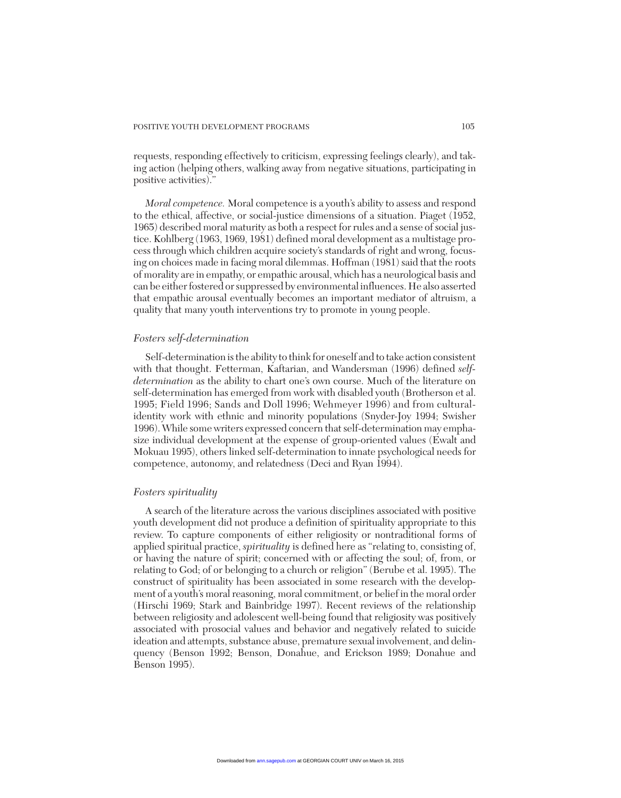requests, responding effectively to criticism, expressing feelings clearly), and taking action (helping others, walking away from negative situations, participating in positive activities)."

*Moral competence.* Moral competence is a youth's ability to assess and respond to the ethical, affective, or social-justice dimensions of a situation. Piaget (1952, 1965) described moral maturity as both a respect for rules and a sense of social justice. Kohlberg (1963, 1969, 1981) defined moral development as a multistage process through which children acquire society's standards of right and wrong, focusing on choices made in facing moral dilemmas. Hoffman (1981) said that the roots of morality are in empathy, or empathic arousal, which has a neurological basis and can be either fostered or suppressed by environmental influences. He also asserted that empathic arousal eventually becomes an important mediator of altruism, a quality that many youth interventions try to promote in young people.

### *Fosters self-determination*

Self-determination is the ability to think for oneself and to take action consistent with that thought. Fetterman, Kaftarian, and Wandersman (1996) defined *selfdetermination* as the ability to chart one's own course. Much of the literature on self-determination has emerged from work with disabled youth (Brotherson et al. 1995; Field 1996; Sands and Doll 1996; Wehmeyer 1996) and from culturalidentity work with ethnic and minority populations (Snyder-Joy 1994; Swisher 1996). While some writers expressed concern that self-determination may emphasize individual development at the expense of group-oriented values (Ewalt and Mokuau 1995), others linked self-determination to innate psychological needs for competence, autonomy, and relatedness (Deci and Ryan 1994).

### *Fosters spirituality*

A search of the literature across the various disciplines associated with positive youth development did not produce a definition of spirituality appropriate to this review. To capture components of either religiosity or nontraditional forms of applied spiritual practice, *spirituality* is defined here as "relating to, consisting of, or having the nature of spirit; concerned with or affecting the soul; of, from, or relating to God; of or belonging to a church or religion" (Berube et al. 1995). The construct of spirituality has been associated in some research with the development of a youth's moral reasoning, moral commitment, or belief in the moral order (Hirschi 1969; Stark and Bainbridge 1997). Recent reviews of the relationship between religiosity and adolescent well-being found that religiosity was positively associated with prosocial values and behavior and negatively related to suicide ideation and attempts, substance abuse, premature sexual involvement, and delinquency (Benson 1992; Benson, Donahue, and Erickson 1989; Donahue and Benson 1995).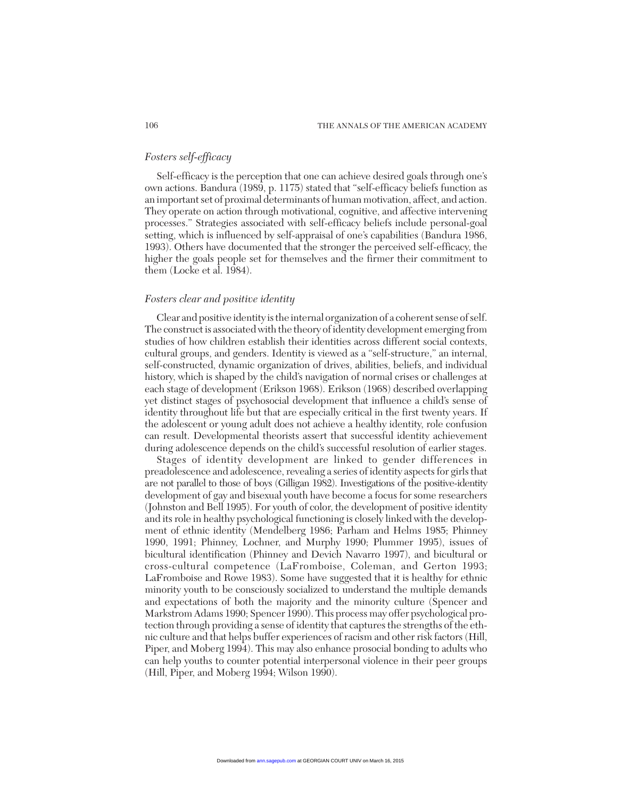### *Fosters self-efficacy*

Self-efficacy is the perception that one can achieve desired goals through one's own actions. Bandura (1989, p. 1175) stated that "self-efficacy beliefs function as an important set of proximal determinants of human motivation, affect, and action. They operate on action through motivational, cognitive, and affective intervening processes." Strategies associated with self-efficacy beliefs include personal-goal setting, which is influenced by self-appraisal of one's capabilities (Bandura 1986, 1993). Others have documented that the stronger the perceived self-efficacy, the higher the goals people set for themselves and the firmer their commitment to them (Locke et al. 1984).

### *Fosters clear and positive identity*

Clear and positive identity is the internal organization of a coherent sense of self. The construct is associated with the theory of identity development emerging from studies of how children establish their identities across different social contexts, cultural groups, and genders. Identity is viewed as a "self-structure," an internal, self-constructed, dynamic organization of drives, abilities, beliefs, and individual history, which is shaped by the child's navigation of normal crises or challenges at each stage of development (Erikson 1968). Erikson (1968) described overlapping yet distinct stages of psychosocial development that influence a child's sense of identity throughout life but that are especially critical in the first twenty years. If the adolescent or young adult does not achieve a healthy identity, role confusion can result. Developmental theorists assert that successful identity achievement during adolescence depends on the child's successful resolution of earlier stages.

Stages of identity development are linked to gender differences in preadolescence and adolescence, revealing a series of identity aspects for girls that are not parallel to those of boys (Gilligan 1982). Investigations of the positive-identity development of gay and bisexual youth have become a focus for some researchers (Johnston and Bell 1995). For youth of color, the development of positive identity and its role in healthy psychological functioning is closely linked with the development of ethnic identity (Mendelberg 1986; Parham and Helms 1985; Phinney 1990, 1991; Phinney, Lochner, and Murphy 1990; Plummer 1995), issues of bicultural identification (Phinney and Devich Navarro 1997), and bicultural or cross-cultural competence (LaFromboise, Coleman, and Gerton 1993; LaFromboise and Rowe 1983). Some have suggested that it is healthy for ethnic minority youth to be consciously socialized to understand the multiple demands and expectations of both the majority and the minority culture (Spencer and Markstrom Adams 1990; Spencer 1990). This process may offer psychological protection through providing a sense of identity that captures the strengths of the ethnic culture and that helps buffer experiences of racism and other risk factors (Hill, Piper, and Moberg 1994). This may also enhance prosocial bonding to adults who can help youths to counter potential interpersonal violence in their peer groups (Hill, Piper, and Moberg 1994; Wilson 1990).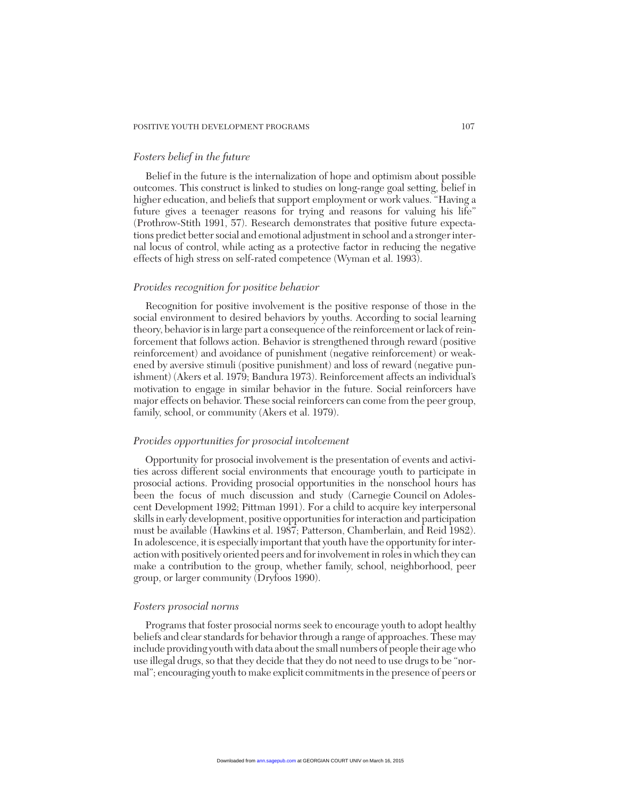### *Fosters belief in the future*

Belief in the future is the internalization of hope and optimism about possible outcomes. This construct is linked to studies on long-range goal setting, belief in higher education, and beliefs that support employment or work values. "Having a future gives a teenager reasons for trying and reasons for valuing his life" (Prothrow-Stith 1991, 57). Research demonstrates that positive future expectations predict better social and emotional adjustment in school and a stronger internal locus of control, while acting as a protective factor in reducing the negative effects of high stress on self-rated competence (Wyman et al. 1993).

### *Provides recognition for positive behavior*

Recognition for positive involvement is the positive response of those in the social environment to desired behaviors by youths. According to social learning theory, behavior is in large part a consequence of the reinforcement or lack of reinforcement that follows action. Behavior is strengthened through reward (positive reinforcement) and avoidance of punishment (negative reinforcement) or weakened by aversive stimuli (positive punishment) and loss of reward (negative punishment) (Akers et al. 1979; Bandura 1973). Reinforcement affects an individual's motivation to engage in similar behavior in the future. Social reinforcers have major effects on behavior. These social reinforcers can come from the peer group, family, school, or community (Akers et al. 1979).

### *Provides opportunities for prosocial involvement*

Opportunity for prosocial involvement is the presentation of events and activities across different social environments that encourage youth to participate in prosocial actions. Providing prosocial opportunities in the nonschool hours has been the focus of much discussion and study (Carnegie Council on Adolescent Development 1992; Pittman 1991). For a child to acquire key interpersonal skills in early development, positive opportunities for interaction and participation must be available (Hawkins et al. 1987; Patterson, Chamberlain, and Reid 1982). In adolescence, it is especially important that youth have the opportunity for interaction with positively oriented peers and for involvement in roles in which they can make a contribution to the group, whether family, school, neighborhood, peer group, or larger community (Dryfoos 1990).

#### *Fosters prosocial norms*

Programs that foster prosocial norms seek to encourage youth to adopt healthy beliefs and clear standards for behavior through a range of approaches. These may include providing youth with data about the small numbers of people their age who use illegal drugs, so that they decide that they do not need to use drugs to be "normal"; encouraging youth to make explicit commitments in the presence of peers or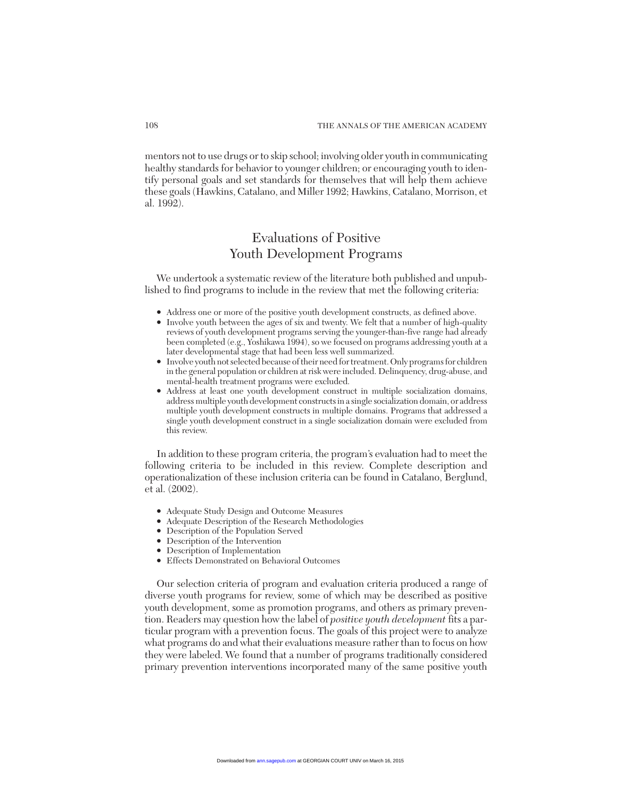mentors not to use drugs or to skip school; involving older youth in communicating healthy standards for behavior to younger children; or encouraging youth to identify personal goals and set standards for themselves that will help them achieve these goals (Hawkins, Catalano, and Miller 1992; Hawkins, Catalano, Morrison, et al. 1992).

### Evaluations of Positive Youth Development Programs

We undertook a systematic review of the literature both published and unpublished to find programs to include in the review that met the following criteria:

- Address one or more of the positive youth development constructs, as defined above.
- Involve youth between the ages of six and twenty. We felt that a number of high-quality reviews of youth development programs serving the younger-than-five range had already been completed (e.g., Yoshikawa 1994), so we focused on programs addressing youth at a later developmental stage that had been less well summarized.
- Involve youth not selected because of their need for treatment. Only programs for children in the general population or children at risk were included. Delinquency, drug-abuse, and mental-health treatment programs were excluded.
- Address at least one youth development construct in multiple socialization domains, address multiple youth development constructs in a single socialization domain, or address multiple youth development constructs in multiple domains. Programs that addressed a single youth development construct in a single socialization domain were excluded from this review.

In addition to these program criteria, the program's evaluation had to meet the following criteria to be included in this review. Complete description and operationalization of these inclusion criteria can be found in Catalano, Berglund, et al. (2002).

- Adequate Study Design and Outcome Measures
- Adequate Description of the Research Methodologies
- Description of the Population Served
- Description of the Intervention
- Description of Implementation
- Effects Demonstrated on Behavioral Outcomes

Our selection criteria of program and evaluation criteria produced a range of diverse youth programs for review, some of which may be described as positive youth development, some as promotion programs, and others as primary prevention. Readers may question how the label of *positive youth development* fits a particular program with a prevention focus. The goals of this project were to analyze what programs do and what their evaluations measure rather than to focus on how they were labeled. We found that a number of programs traditionally considered primary prevention interventions incorporated many of the same positive youth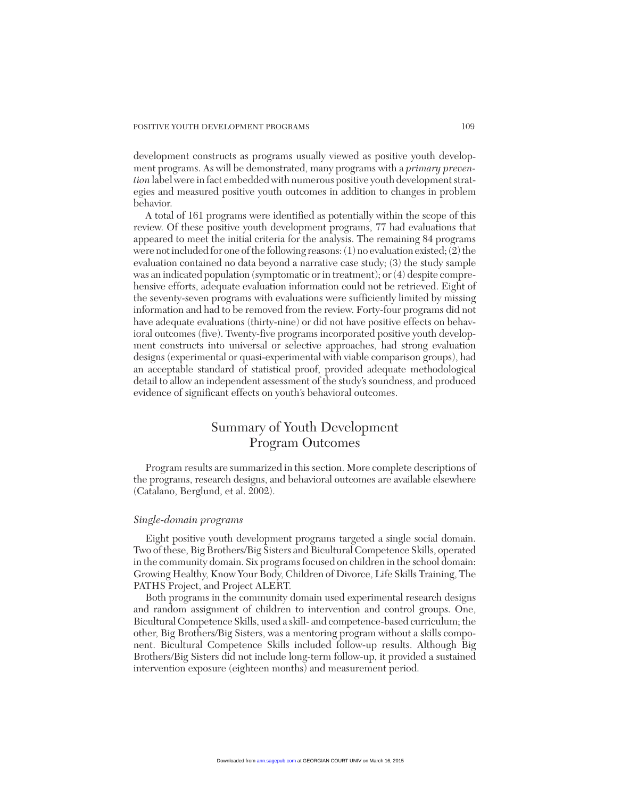development constructs as programs usually viewed as positive youth development programs. As will be demonstrated, many programs with a *primary prevention* label were in fact embedded with numerous positive youth development strategies and measured positive youth outcomes in addition to changes in problem behavior.

A total of 161 programs were identified as potentially within the scope of this review. Of these positive youth development programs, 77 had evaluations that appeared to meet the initial criteria for the analysis. The remaining 84 programs were not included for one of the following reasons: (1) no evaluation existed; (2) the evaluation contained no data beyond a narrative case study; (3) the study sample was an indicated population (symptomatic or in treatment); or (4) despite comprehensive efforts, adequate evaluation information could not be retrieved. Eight of the seventy-seven programs with evaluations were sufficiently limited by missing information and had to be removed from the review. Forty-four programs did not have adequate evaluations (thirty-nine) or did not have positive effects on behavioral outcomes (five). Twenty-five programs incorporated positive youth development constructs into universal or selective approaches, had strong evaluation designs (experimental or quasi-experimental with viable comparison groups), had an acceptable standard of statistical proof, provided adequate methodological detail to allow an independent assessment of the study's soundness, and produced evidence of significant effects on youth's behavioral outcomes.

## Summary of Youth Development Program Outcomes

Program results are summarized in this section. More complete descriptions of the programs, research designs, and behavioral outcomes are available elsewhere (Catalano, Berglund, et al. 2002).

### *Single-domain programs*

Eight positive youth development programs targeted a single social domain. Two of these, Big Brothers/Big Sisters and Bicultural Competence Skills, operated in the community domain. Six programs focused on children in the school domain: Growing Healthy, Know Your Body, Children of Divorce, Life Skills Training, The PATHS Project, and Project ALERT.

Both programs in the community domain used experimental research designs and random assignment of children to intervention and control groups. One, Bicultural Competence Skills, used a skill- and competence-based curriculum; the other, Big Brothers/Big Sisters, was a mentoring program without a skills component. Bicultural Competence Skills included follow-up results. Although Big Brothers/Big Sisters did not include long-term follow-up, it provided a sustained intervention exposure (eighteen months) and measurement period.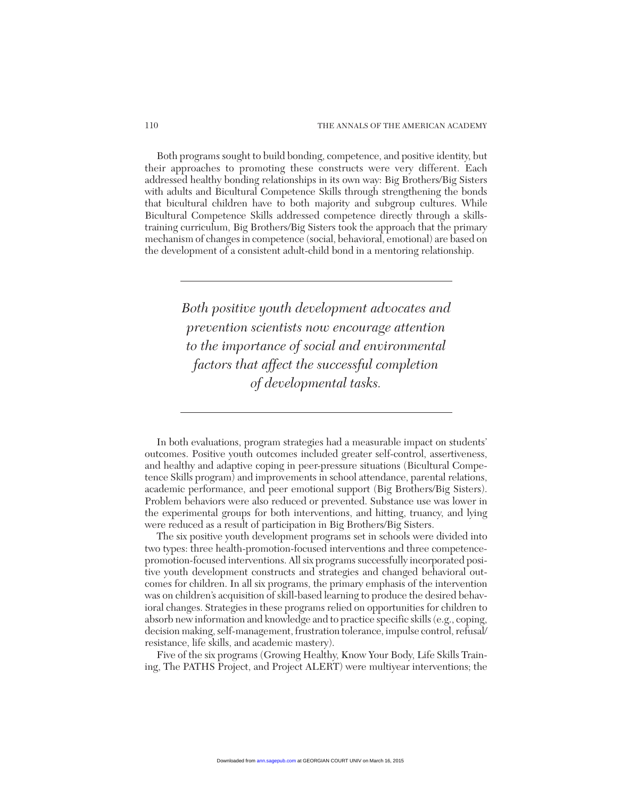Both programs sought to build bonding, competence, and positive identity, but their approaches to promoting these constructs were very different. Each addressed healthy bonding relationships in its own way: Big Brothers/Big Sisters with adults and Bicultural Competence Skills through strengthening the bonds that bicultural children have to both majority and subgroup cultures. While Bicultural Competence Skills addressed competence directly through a skillstraining curriculum, Big Brothers/Big Sisters took the approach that the primary mechanism of changes in competence (social, behavioral, emotional) are based on the development of a consistent adult-child bond in a mentoring relationship.

> *Both positive youth development advocates and prevention scientists now encourage attention to the importance of social and environmental factors that affect the successful completion of developmental tasks.*

In both evaluations, program strategies had a measurable impact on students' outcomes. Positive youth outcomes included greater self-control, assertiveness, and healthy and adaptive coping in peer-pressure situations (Bicultural Competence Skills program) and improvements in school attendance, parental relations, academic performance, and peer emotional support (Big Brothers/Big Sisters). Problem behaviors were also reduced or prevented. Substance use was lower in the experimental groups for both interventions, and hitting, truancy, and lying were reduced as a result of participation in Big Brothers/Big Sisters.

The six positive youth development programs set in schools were divided into two types: three health-promotion-focused interventions and three competencepromotion-focused interventions. All six programs successfully incorporated positive youth development constructs and strategies and changed behavioral outcomes for children. In all six programs, the primary emphasis of the intervention was on children's acquisition of skill-based learning to produce the desired behavioral changes. Strategies in these programs relied on opportunities for children to absorb new information and knowledge and to practice specific skills (e.g., coping, decision making, self-management, frustration tolerance, impulse control, refusal/ resistance, life skills, and academic mastery).

Five of the six programs (Growing Healthy, Know Your Body, Life Skills Training, The PATHS Project, and Project ALERT) were multiyear interventions; the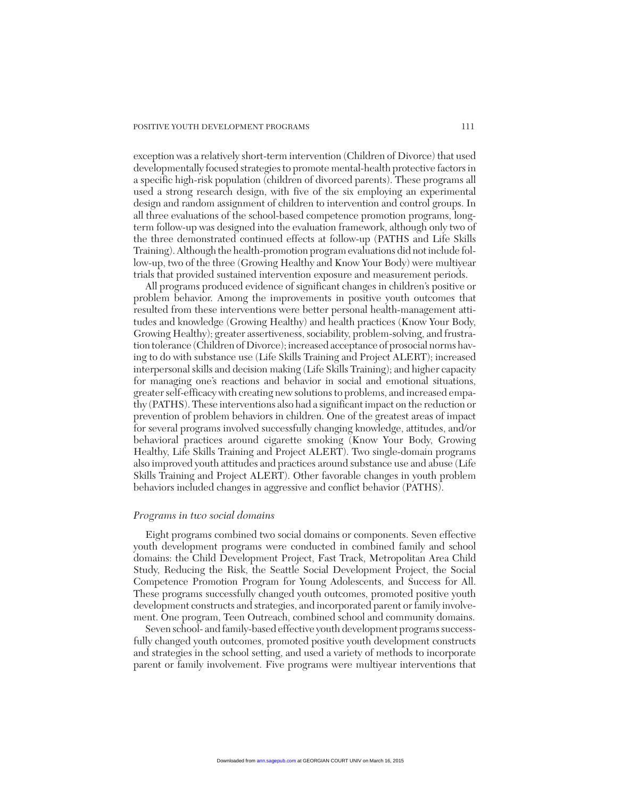exception was a relatively short-term intervention (Children of Divorce) that used developmentally focused strategies to promote mental-health protective factors in a specific high-risk population (children of divorced parents). These programs all used a strong research design, with five of the six employing an experimental design and random assignment of children to intervention and control groups. In all three evaluations of the school-based competence promotion programs, longterm follow-up was designed into the evaluation framework, although only two of the three demonstrated continued effects at follow-up (PATHS and Life Skills Training). Although the health-promotion program evaluations did not include follow-up, two of the three (Growing Healthy and Know Your Body) were multiyear trials that provided sustained intervention exposure and measurement periods.

All programs produced evidence of significant changes in children's positive or problem behavior. Among the improvements in positive youth outcomes that resulted from these interventions were better personal health-management attitudes and knowledge (Growing Healthy) and health practices (Know Your Body, Growing Healthy); greater assertiveness, sociability, problem-solving, and frustration tolerance (Children of Divorce); increased acceptance of prosocial norms having to do with substance use (Life Skills Training and Project ALERT); increased interpersonal skills and decision making (Life Skills Training); and higher capacity for managing one's reactions and behavior in social and emotional situations, greater self-efficacy with creating new solutions to problems, and increased empathy (PATHS). These interventions also had a significant impact on the reduction or prevention of problem behaviors in children. One of the greatest areas of impact for several programs involved successfully changing knowledge, attitudes, and/or behavioral practices around cigarette smoking (Know Your Body, Growing Healthy, Life Skills Training and Project ALERT). Two single-domain programs also improved youth attitudes and practices around substance use and abuse (Life Skills Training and Project ALERT). Other favorable changes in youth problem behaviors included changes in aggressive and conflict behavior (PATHS).

### *Programs in two social domains*

Eight programs combined two social domains or components. Seven effective youth development programs were conducted in combined family and school domains: the Child Development Project, Fast Track, Metropolitan Area Child Study, Reducing the Risk, the Seattle Social Development Project, the Social Competence Promotion Program for Young Adolescents, and Success for All. These programs successfully changed youth outcomes, promoted positive youth development constructs and strategies, and incorporated parent or family involvement. One program, Teen Outreach, combined school and community domains.

Seven school- and family-based effective youth development programs successfully changed youth outcomes, promoted positive youth development constructs and strategies in the school setting, and used a variety of methods to incorporate parent or family involvement. Five programs were multiyear interventions that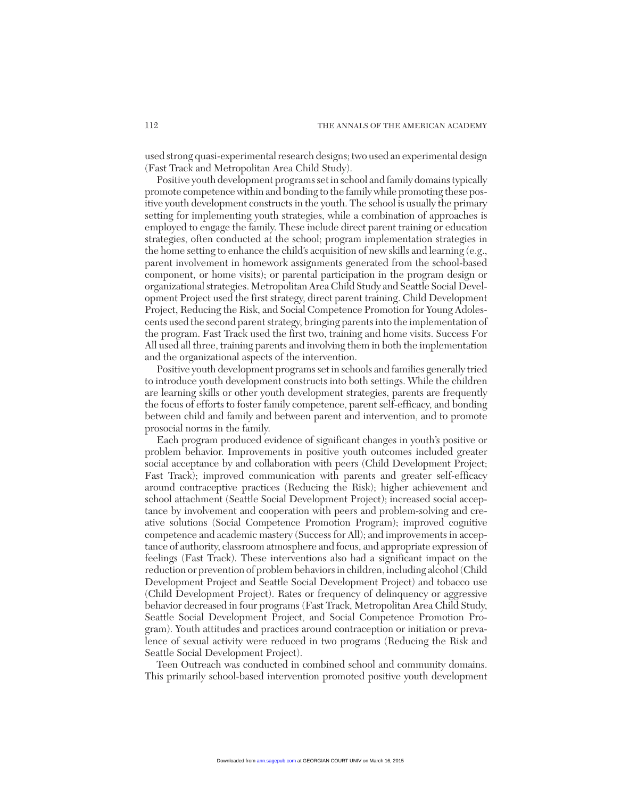used strong quasi-experimental research designs; two used an experimental design (Fast Track and Metropolitan Area Child Study).

Positive youth development programs set in school and family domains typically promote competence within and bonding to the family while promoting these positive youth development constructs in the youth. The school is usually the primary setting for implementing youth strategies, while a combination of approaches is employed to engage the family. These include direct parent training or education strategies, often conducted at the school; program implementation strategies in the home setting to enhance the child's acquisition of new skills and learning (e.g., parent involvement in homework assignments generated from the school-based component, or home visits); or parental participation in the program design or organizational strategies. Metropolitan Area Child Study and Seattle Social Development Project used the first strategy, direct parent training. Child Development Project, Reducing the Risk, and Social Competence Promotion for Young Adolescents used the second parent strategy, bringing parents into the implementation of the program. Fast Track used the first two, training and home visits. Success For All used all three, training parents and involving them in both the implementation and the organizational aspects of the intervention.

Positive youth development programs set in schools and families generally tried to introduce youth development constructs into both settings. While the children are learning skills or other youth development strategies, parents are frequently the focus of efforts to foster family competence, parent self-efficacy, and bonding between child and family and between parent and intervention, and to promote prosocial norms in the family.

Each program produced evidence of significant changes in youth's positive or problem behavior. Improvements in positive youth outcomes included greater social acceptance by and collaboration with peers (Child Development Project; Fast Track); improved communication with parents and greater self-efficacy around contraceptive practices (Reducing the Risk); higher achievement and school attachment (Seattle Social Development Project); increased social acceptance by involvement and cooperation with peers and problem-solving and creative solutions (Social Competence Promotion Program); improved cognitive competence and academic mastery (Success for All); and improvements in acceptance of authority, classroom atmosphere and focus, and appropriate expression of feelings (Fast Track). These interventions also had a significant impact on the reduction or prevention of problem behaviors in children, including alcohol (Child Development Project and Seattle Social Development Project) and tobacco use (Child Development Project). Rates or frequency of delinquency or aggressive behavior decreased in four programs (Fast Track, Metropolitan Area Child Study, Seattle Social Development Project, and Social Competence Promotion Program). Youth attitudes and practices around contraception or initiation or prevalence of sexual activity were reduced in two programs (Reducing the Risk and Seattle Social Development Project).

Teen Outreach was conducted in combined school and community domains. This primarily school-based intervention promoted positive youth development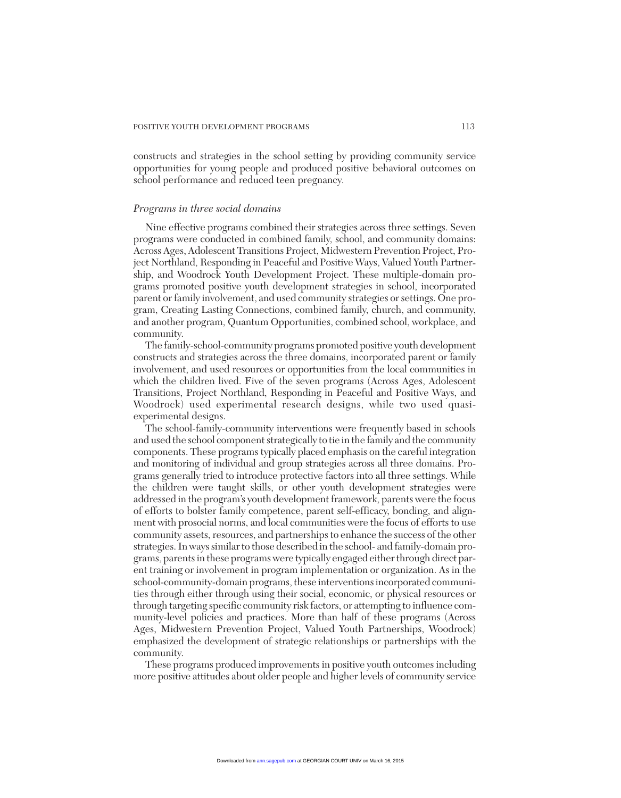constructs and strategies in the school setting by providing community service opportunities for young people and produced positive behavioral outcomes on school performance and reduced teen pregnancy.

### *Programs in three social domains*

Nine effective programs combined their strategies across three settings. Seven programs were conducted in combined family, school, and community domains: Across Ages, Adolescent Transitions Project, Midwestern Prevention Project, Project Northland, Responding in Peaceful and Positive Ways, Valued Youth Partnership, and Woodrock Youth Development Project. These multiple-domain programs promoted positive youth development strategies in school, incorporated parent or family involvement, and used community strategies or settings. One program, Creating Lasting Connections, combined family, church, and community, and another program, Quantum Opportunities, combined school, workplace, and community.

The family-school-community programs promoted positive youth development constructs and strategies across the three domains, incorporated parent or family involvement, and used resources or opportunities from the local communities in which the children lived. Five of the seven programs (Across Ages, Adolescent Transitions, Project Northland, Responding in Peaceful and Positive Ways, and Woodrock) used experimental research designs, while two used quasiexperimental designs.

The school-family-community interventions were frequently based in schools and used the school component strategically to tie in the family and the community components. These programs typically placed emphasis on the careful integration and monitoring of individual and group strategies across all three domains. Programs generally tried to introduce protective factors into all three settings. While the children were taught skills, or other youth development strategies were addressed in the program's youth development framework, parents were the focus of efforts to bolster family competence, parent self-efficacy, bonding, and alignment with prosocial norms, and local communities were the focus of efforts to use community assets, resources, and partnerships to enhance the success of the other strategies. In ways similar to those described in the school- and family-domain programs, parents in these programs were typically engaged either through direct parent training or involvement in program implementation or organization. As in the school-community-domain programs, these interventions incorporated communities through either through using their social, economic, or physical resources or through targeting specific community risk factors, or attempting to influence community-level policies and practices. More than half of these programs (Across Ages, Midwestern Prevention Project, Valued Youth Partnerships, Woodrock) emphasized the development of strategic relationships or partnerships with the community.

These programs produced improvements in positive youth outcomes including more positive attitudes about older people and higher levels of community service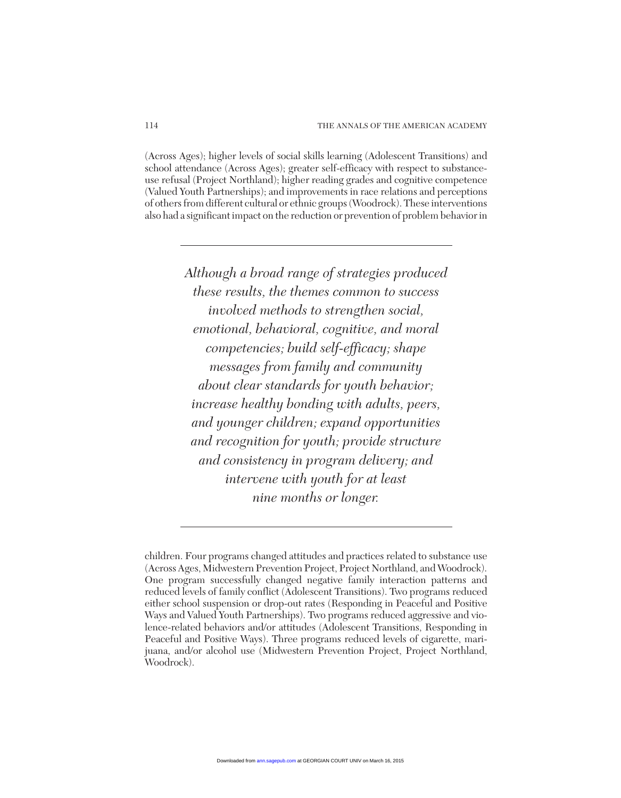(Across Ages); higher levels of social skills learning (Adolescent Transitions) and school attendance (Across Ages); greater self-efficacy with respect to substanceuse refusal (Project Northland); higher reading grades and cognitive competence (Valued Youth Partnerships); and improvements in race relations and perceptions of others from different cultural or ethnic groups (Woodrock). These interventions also had a significant impact on the reduction or prevention of problem behavior in

> *Although a broad range of strategies produced these results, the themes common to success involved methods to strengthen social, emotional, behavioral, cognitive, and moral competencies; build self-efficacy; shape messages from family and community about clear standards for youth behavior; increase healthy bonding with adults, peers, and younger children; expand opportunities and recognition for youth; provide structure and consistency in program delivery; and intervene with youth for at least nine months or longer.*

children. Four programs changed attitudes and practices related to substance use (Across Ages, Midwestern Prevention Project, Project Northland, and Woodrock). One program successfully changed negative family interaction patterns and reduced levels of family conflict (Adolescent Transitions). Two programs reduced either school suspension or drop-out rates (Responding in Peaceful and Positive Ways and Valued Youth Partnerships). Two programs reduced aggressive and violence-related behaviors and/or attitudes (Adolescent Transitions, Responding in Peaceful and Positive Ways). Three programs reduced levels of cigarette, marijuana, and/or alcohol use (Midwestern Prevention Project, Project Northland, Woodrock).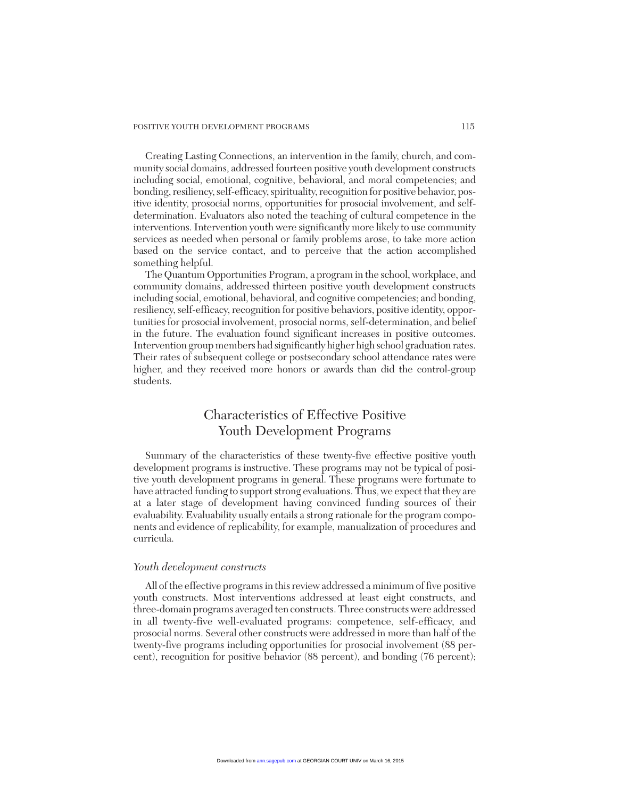Creating Lasting Connections, an intervention in the family, church, and community social domains, addressed fourteen positive youth development constructs including social, emotional, cognitive, behavioral, and moral competencies; and bonding, resiliency, self-efficacy, spirituality, recognition for positive behavior, positive identity, prosocial norms, opportunities for prosocial involvement, and selfdetermination. Evaluators also noted the teaching of cultural competence in the interventions. Intervention youth were significantly more likely to use community services as needed when personal or family problems arose, to take more action based on the service contact, and to perceive that the action accomplished something helpful.

The Quantum Opportunities Program, a program in the school, workplace, and community domains, addressed thirteen positive youth development constructs including social, emotional, behavioral, and cognitive competencies; and bonding, resiliency, self-efficacy, recognition for positive behaviors, positive identity, opportunities for prosocial involvement, prosocial norms, self-determination, and belief in the future. The evaluation found significant increases in positive outcomes. Intervention group members had significantly higher high school graduation rates. Their rates of subsequent college or postsecondary school attendance rates were higher, and they received more honors or awards than did the control-group students.

### Characteristics of Effective Positive Youth Development Programs

Summary of the characteristics of these twenty-five effective positive youth development programs is instructive. These programs may not be typical of positive youth development programs in general. These programs were fortunate to have attracted funding to support strong evaluations. Thus, we expect that they are at a later stage of development having convinced funding sources of their evaluability. Evaluability usually entails a strong rationale for the program components and evidence of replicability, for example, manualization of procedures and curricula.

### *Youth development constructs*

All of the effective programs in this review addressed a minimum of five positive youth constructs. Most interventions addressed at least eight constructs, and three-domain programs averaged ten constructs. Three constructs were addressed in all twenty-five well-evaluated programs: competence, self-efficacy, and prosocial norms. Several other constructs were addressed in more than half of the twenty-five programs including opportunities for prosocial involvement (88 percent), recognition for positive behavior (88 percent), and bonding (76 percent);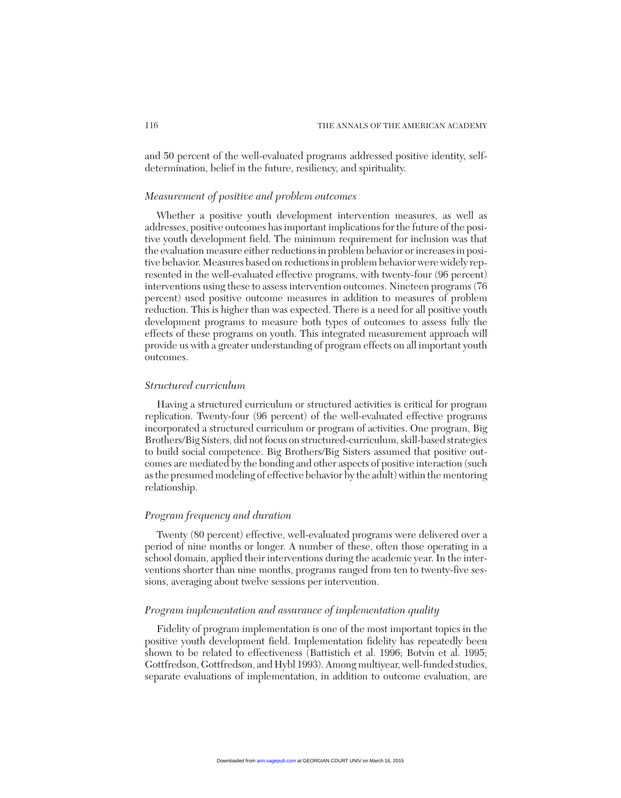and 50 percent of the well-evaluated programs addressed positive identity, selfdetermination, belief in the future, resiliency, and spirituality.

### *Measurement of positive and problem outcomes*

Whether a positive youth development intervention measures, as well as addresses, positive outcomes has important implications for the future of the positive youth development field. The minimum requirement for inclusion was that the evaluation measure either reductions in problem behavior or increases in positive behavior. Measures based on reductions in problem behavior were widely represented in the well-evaluated effective programs, with twenty-four (96 percent) interventions using these to assess intervention outcomes. Nineteen programs (76 percent) used positive outcome measures in addition to measures of problem reduction. This is higher than was expected. There is a need for all positive youth development programs to measure both types of outcomes to assess fully the effects of these programs on youth. This integrated measurement approach will provide us with a greater understanding of program effects on all important youth outcomes.

### *Structured curriculum*

Having a structured curriculum or structured activities is critical for program replication. Twenty-four (96 percent) of the well-evaluated effective programs incorporated a structured curriculum or program of activities. One program, Big Brothers/Big Sisters, did not focus on structured-curriculum, skill-based strategies to build social competence. Big Brothers/Big Sisters assumed that positive outcomes are mediated by the bonding and other aspects of positive interaction (such as the presumed modeling of effective behavior by the adult) within the mentoring relationship.

### *Program frequency and duration*

Twenty (80 percent) effective, well-evaluated programs were delivered over a period of nine months or longer. A number of these, often those operating in a school domain, applied their interventions during the academic year. In the interventions shorter than nine months, programs ranged from ten to twenty-five sessions, averaging about twelve sessions per intervention.

### *Program implementation and assurance of implementation quality*

Fidelity of program implementation is one of the most important topics in the positive youth development field. Implementation fidelity has repeatedly been shown to be related to effectiveness (Battistich et al. 1996; Botvin et al. 1995; Gottfredson, Gottfredson, and Hybl 1993). Among multiyear, well-funded studies, separate evaluations of implementation, in addition to outcome evaluation, are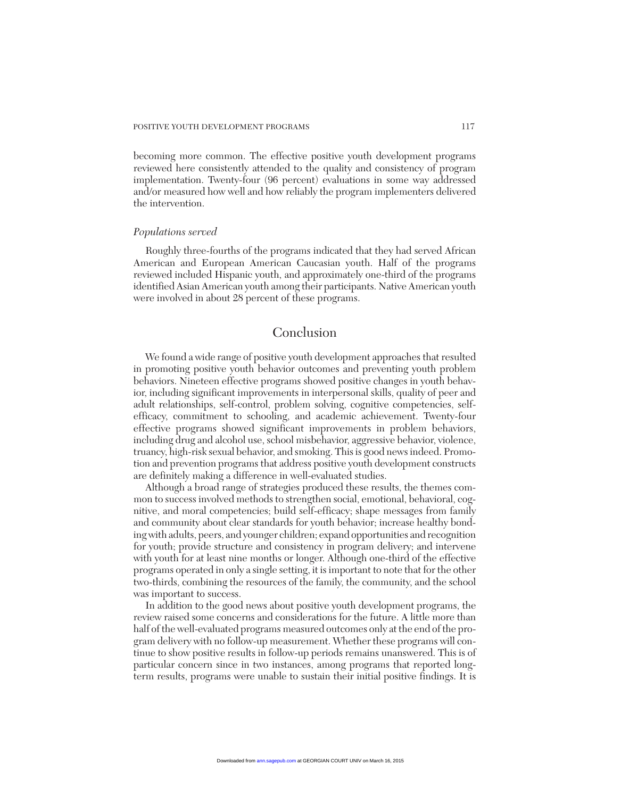becoming more common. The effective positive youth development programs reviewed here consistently attended to the quality and consistency of program implementation. Twenty-four (96 percent) evaluations in some way addressed and/or measured how well and how reliably the program implementers delivered the intervention.

### *Populations served*

Roughly three-fourths of the programs indicated that they had served African American and European American Caucasian youth. Half of the programs reviewed included Hispanic youth, and approximately one-third of the programs identified Asian American youth among their participants. Native American youth were involved in about 28 percent of these programs.

### Conclusion

We found a wide range of positive youth development approaches that resulted in promoting positive youth behavior outcomes and preventing youth problem behaviors. Nineteen effective programs showed positive changes in youth behavior, including significant improvements in interpersonal skills, quality of peer and adult relationships, self-control, problem solving, cognitive competencies, selfefficacy, commitment to schooling, and academic achievement. Twenty-four effective programs showed significant improvements in problem behaviors, including drug and alcohol use, school misbehavior, aggressive behavior, violence, truancy, high-risk sexual behavior, and smoking. This is good news indeed. Promotion and prevention programs that address positive youth development constructs are definitely making a difference in well-evaluated studies.

Although a broad range of strategies produced these results, the themes common to success involved methods to strengthen social, emotional, behavioral, cognitive, and moral competencies; build self-efficacy; shape messages from family and community about clear standards for youth behavior; increase healthy bonding with adults, peers, and younger children; expand opportunities and recognition for youth; provide structure and consistency in program delivery; and intervene with youth for at least nine months or longer. Although one-third of the effective programs operated in only a single setting, it is important to note that for the other two-thirds, combining the resources of the family, the community, and the school was important to success.

In addition to the good news about positive youth development programs, the review raised some concerns and considerations for the future. A little more than half of the well-evaluated programs measured outcomes only at the end of the program delivery with no follow-up measurement. Whether these programs will continue to show positive results in follow-up periods remains unanswered. This is of particular concern since in two instances, among programs that reported longterm results, programs were unable to sustain their initial positive findings. It is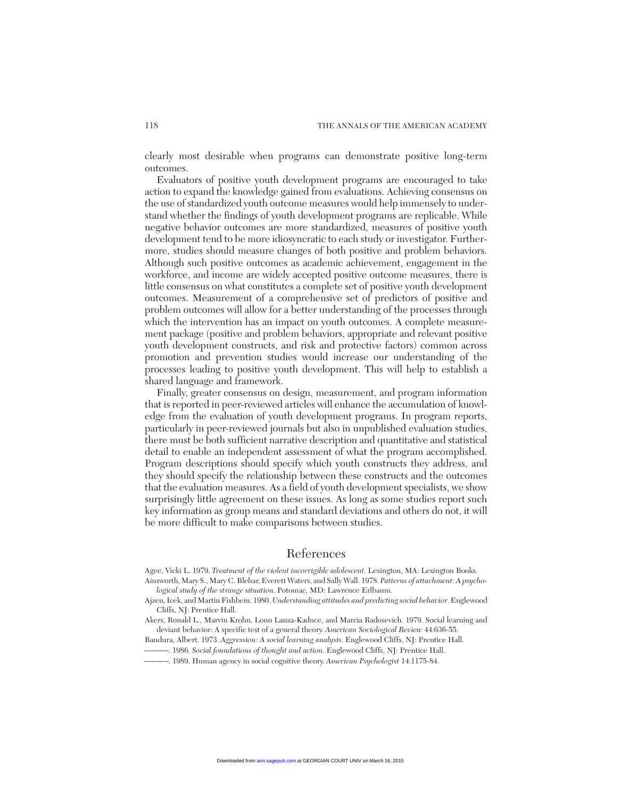clearly most desirable when programs can demonstrate positive long-term outcomes.

Evaluators of positive youth development programs are encouraged to take action to expand the knowledge gained from evaluations. Achieving consensus on the use of standardized youth outcome measures would help immensely to understand whether the findings of youth development programs are replicable. While negative behavior outcomes are more standardized, measures of positive youth development tend to be more idiosyncratic to each study or investigator. Furthermore, studies should measure changes of both positive and problem behaviors. Although such positive outcomes as academic achievement, engagement in the workforce, and income are widely accepted positive outcome measures, there is little consensus on what constitutes a complete set of positive youth development outcomes. Measurement of a comprehensive set of predictors of positive and problem outcomes will allow for a better understanding of the processes through which the intervention has an impact on youth outcomes. A complete measurement package (positive and problem behaviors, appropriate and relevant positive youth development constructs, and risk and protective factors) common across promotion and prevention studies would increase our understanding of the processes leading to positive youth development. This will help to establish a shared language and framework.

Finally, greater consensus on design, measurement, and program information that is reported in peer-reviewed articles will enhance the accumulation of knowledge from the evaluation of youth development programs. In program reports, particularly in peer-reviewed journals but also in unpublished evaluation studies, there must be both sufficient narrative description and quantitative and statistical detail to enable an independent assessment of what the program accomplished. Program descriptions should specify which youth constructs they address, and they should specify the relationship between these constructs and the outcomes that the evaluation measures. As a field of youth development specialists, we show surprisingly little agreement on these issues. As long as some studies report such key information as group means and standard deviations and others do not, it will be more difficult to make comparisons between studies.

### References

Agee, Vicki L. 1979. *Treatment of the violent incorrigible adolescent*. Lexington, MA: Lexington Books.

Ainsworth, Mary S., Mary C. Blehar, Everett Waters, and Sally Wall. 1978. *Patterns of attachment: A psychological study of the strange situation*. Potomac, MD: Lawrence Erlbaum.

Ajzen, Icek, and Martin Fishbein. 1980. *Understanding attitudes and predicting social behavior*. Englewood Cliffs, NJ: Prentice Hall.

Akers, Ronald L., Marvin Krohn, Lonn Lanza-Kaduce, and Marcia Radosevich. 1979. Social learning and deviant behavior: A specific test of a general theory. *American Sociological Review* 44:636-55.

Bandura, Albert. 1973. *Aggression: A social learning analysis*. Englewood Cliffs, NJ: Prentice Hall.

. 1986. *Social foundations of thought and action*. Englewood Cliffs, NJ: Prentice Hall.

. 1989. Human agency in social cognitive theory. *American Psychologist* 14:1175-84.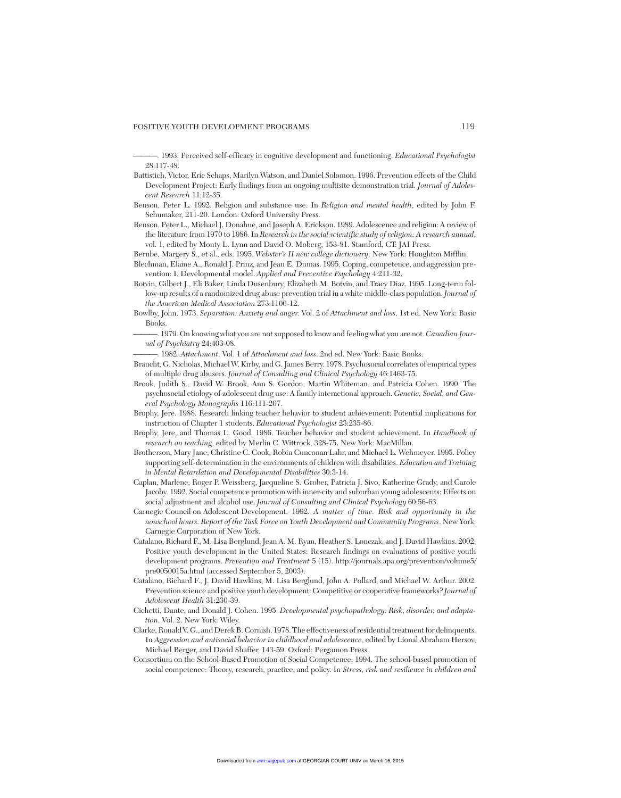. 1993. Perceived self-efficacy in cognitive development and functioning. *Educational Psychologist* 28:117-48.

- Battistich, Victor, Eric Schaps, Marilyn Watson, and Daniel Solomon. 1996. Prevention effects of the Child Development Project: Early findings from an ongoing multisite demonstration trial. *Journal of Adolescent Research* 11:12-35.
- Benson, Peter L. 1992. Religion and substance use. In *Religion and mental health*, edited by John F. Schumaker, 211-20. London: Oxford University Press.
- Benson, Peter L., Michael J. Donahue, and Joseph A. Erickson. 1989. Adolescence and religion: A review of the literature from 1970 to 1986. In *Research in the social scientific study of religion: A research annual*, vol. 1, edited by Monty L. Lynn and David O. Moberg, 153-81. Stamford, CT: JAI Press.
- Berube, Margery S., et al., eds. 1995. *Webster's II new college dictionary*. New York: Houghton Mifflin.
- Blechman, Elaine A., Ronald J. Prinz, and Jean E. Dumas. 1995. Coping, competence, and aggression prevention: I. Developmental model. *Applied and Preventive Psychology* 4:211-32.
- Botvin, Gilbert J., Eli Baker, Linda Dusenbury, Elizabeth M. Botvin, and Tracy Diaz. 1995. Long-term follow-up results of a randomized drug abuse prevention trial in a white middle-class population.*Journal of the American Medical Association* 273:1106-12.
- Bowlby, John. 1973. *Separation: Anxiety and anger*. Vol. 2 of *Attachment and loss*. 1st ed. New York: Basic Books.
- . 1979. On knowing what you are not supposed to know and feeling what you are not. *Canadian Journal of Psychiatry* 24:403-08.
- . 1982. *Attachment*. Vol. 1 of *Attachment and loss*. 2nd ed. New York: Basic Books.
- Braucht, G. Nicholas, Michael W. Kirby, and G. James Berry. 1978. Psychosocial correlates of empirical types of multiple drug abusers. *Journal of Consulting and Clinical Psychology* 46:1463-75.
- Brook, Judith S., David W. Brook, Ann S. Gordon, Martin Whiteman, and Patricia Cohen. 1990. The psychosocial etiology of adolescent drug use: A family interactional approach. *Genetic, Social, and General Psychology Monographs* 116:111-267.
- Brophy, Jere. 1988. Research linking teacher behavior to student achievement: Potential implications for instruction of Chapter 1 students. *Educational Psychologist* 23:235-86.
- Brophy, Jere, and Thomas L. Good. 1986. Teacher behavior and student achievement. In *Handbook of research on teaching*, edited by Merlin C. Wittrock, 328-75. New York: MacMillan.
- Brotherson, Mary Jane, Christine C. Cook, Robin Cunconan Lahr, and Michael L. Wehmeyer. 1995. Policy supporting self-determination in the environments of children with disabilities. *Education and Training in Mental Retardation and Developmental Disabilities* 30:3-14.
- Caplan, Marlene, Roger P. Weissberg, Jacqueline S. Grober, Patricia J. Sivo, Katherine Grady, and Carole Jacoby. 1992. Social competence promotion with inner-city and suburban young adolescents: Effects on social adjustment and alcohol use.*Journal of Consulting and Clinical Psychology* 60:56-63.
- Carnegie Council on Adolescent Development. 1992. *A matter of time. Risk and opportunity in the nonschool hours. Report of the Task Force on Youth Development and Community Programs*. New York: Carnegie Corporation of New York.
- Catalano, Richard F., M. Lisa Berglund, Jean A. M. Ryan, Heather S. Lonczak, and J. David Hawkins. 2002. Positive youth development in the United States: Research findings on evaluations of positive youth development programs. *Prevention and Treatment* 5 (15). http://journals.apa.org/prevention/volume5/ pre0050015a.html (accessed September 5, 2003).
- Catalano, Richard F., J. David Hawkins, M. Lisa Berglund, John A. Pollard, and Michael W. Arthur. 2002. Prevention science and positive youth development: Competitive or cooperative frameworks? *Journal of Adolescent Health* 31:230-39.
- Cichetti, Dante, and Donald J. Cohen. 1995. *Developmental psychopathology: Risk, disorder, and adaptation*. Vol. 2. New York: Wiley.
- Clarke, Ronald V. G., and Derek B. Cornish. 1978. The effectiveness of residential treatment for delinquents. In *Aggression and antisocial behavior in childhood and adolescence*, edited by Lional Abraham Hersov, Michael Berger, and David Shaffer, 143-59. Oxford: Pergamon Press.
- Consortium on the School-Based Promotion of Social Competence. 1994. The school-based promotion of social competence: Theory, research, practice, and policy. In *Stress, risk and resilience in children and*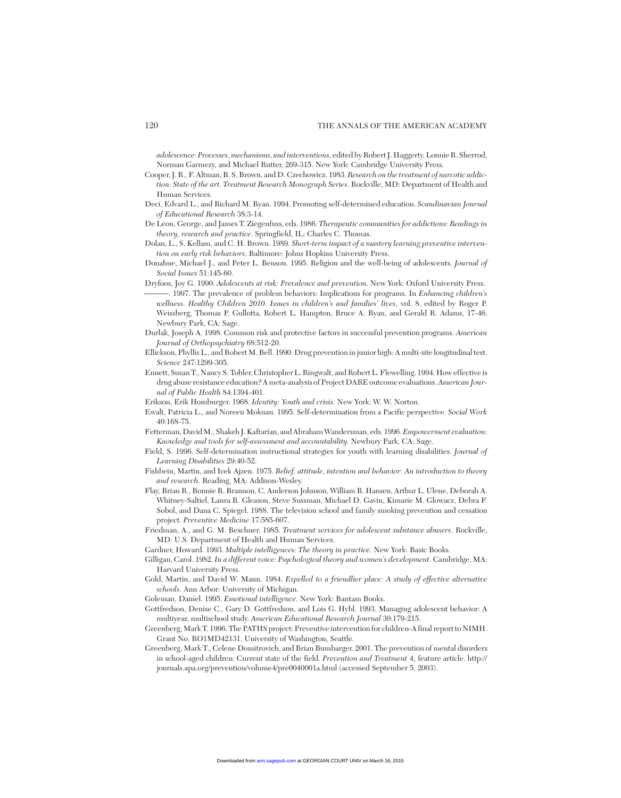*adolescence: Processes, mechanisms, and interventions*, edited by Robert J. Haggerty, Lonnie R. Sherrod, Norman Garmezy, and Michael Rutter, 269-315. New York: Cambridge University Press.

- Cooper, J. R., F. Altman, B. S. Brown, and D. Czechowicz. 1983.*Research on the treatment of narcotic addiction: State of the art. Treatment Research Monograph Series*. Rockville, MD: Department of Health and Human Services.
- Deci, Edvard L., and Richard M. Ryan. 1994. Promoting self-determined education. *Scandinavian Journal of Educational Research* 38:3-14.
- De Leon, George, and James T. Ziegenfuss, eds. 1986. *Therapeutic communities for addictions: Readings in theory, research and practice*. Springfield, IL: Charles C. Thomas.
- Dolan, L., S. Kellam, and C. H. Brown. 1989. *Short-term impact of a mastery learning preventive intervention on early risk behaviors*. Baltimore: Johns Hopkins University Press.
- Donahue, Michael J., and Peter L. Benson. 1995. Religion and the well-being of adolescents. *Journal of Social Issues* 51:145-60.
- Dryfoos, Joy G. 1990. *Adolescents at risk: Prevalence and prevention*. New York: Oxford University Press. . 1997. The prevalence of problem behaviors: Implications for programs. In *Enhancing children's wellness. Healthy Children 2010. Issues in children's and families' lives*, vol. 8, edited by Roger P. Weissberg, Thomas P. Gullotta, Robert L. Hampton, Bruce A. Ryan, and Gerald R. Adams, 17-46. Newbury Park, CA: Sage.
- Durlak, Joseph A. 1998. Common risk and protective factors in successful prevention programs. *American Journal of Orthopsychiatry* 68:512-20.
- Ellickson, Phyllis L., and Robert M. Bell. 1990. Drug prevention in junior high: A multi-site longitudinal test. *Science* 247:1299-305.
- Ennett, Susan T., Nancy S. Tobler, Christopher L. Ringwalt, and Robert L. Flewelling. 1994. How effective is drug abuse resistance education? A meta-analysis of Project DARE outcome evaluations.*American Journal of Public Health* 84:1394-401.
- Erikson, Erik Homburger. 1968. *Identity: Youth and crisis*. New York: W. W. Norton.
- Ewalt, Patricia L., and Noreen Mokuau. 1995. Self-determination from a Pacific perspective. *Social Work* 40:168-75.
- Fetterman, David M., Shakeh J. Kaftarian, and Abraham Wandersman, eds. 1996.*Empowerment evaluation: Knowledge and tools for self-assessment and accountability*. Newbury Park, CA: Sage.
- Field, S. 1996. Self-determination instructional strategies for youth with learning disabilities. *Journal of Learning Disabilities* 29:40-52.
- Fishbein, Martin, and Icek Ajzen. 1975. *Belief, attitude, intention and behavior: An introduction to theory and research*. Reading, MA: Addison-Wesley.
- Flay, Brian R., Bonnie R. Brannon, C. Anderson Johnson, William B. Hansen, Arthur L. Ulene, Deborah A. Whitney-Saltiel, Laura R. Gleason, Steve Sussman, Michael D. Gavin, Kimarie M. Glowacz, Debra F. Sobol, and Dana C. Spiegel. 1988. The television school and family smoking prevention and cessation project. *Preventive Medicine* 17:585-607.
- Friedman, A., and G. M. Beschner. 1985. *Treatment services for adolescent substance abusers*. Rockville, MD: U.S. Department of Health and Human Services.
- Gardner, Howard. 1993. *Multiple intelligences: The theory in practice*. New York: Basic Books.
- Gilligan, Carol. 1982.*In a different voice: Psychological theory and women's development*. Cambridge, MA: Harvard University Press.
- Gold, Martin, and David W. Mann. 1984. *Expelled to a friendlier place: A study of effective alternative schools*. Ann Arbor: University of Michigan.

Goleman, Daniel. 1995. *Emotional intelligence*. New York: Bantam Books.

- Gottfredson, Denise C., Gary D. Gottfredson, and Lois G. Hybl. 1993. Managing adolescent behavior: A multiyear, multischool study. *American Educational Research Journal* 30:179-215.
- Greenberg, Mark T. 1996. The PATHS project: Preventive intervention for children-A final report to NIMH. Grant No. RO1MD42131. University of Washington, Seattle.
- Greenberg, Mark T., Celene Domitrovich, and Brian Bumbarger. 2001. The prevention of mental disorders in school-aged children: Current state of the field. *Prevention and Treatment* 4, feature article. http:// journals.apa.org/prevention/volume4/pre0040001a.html (accessed September 5, 2003).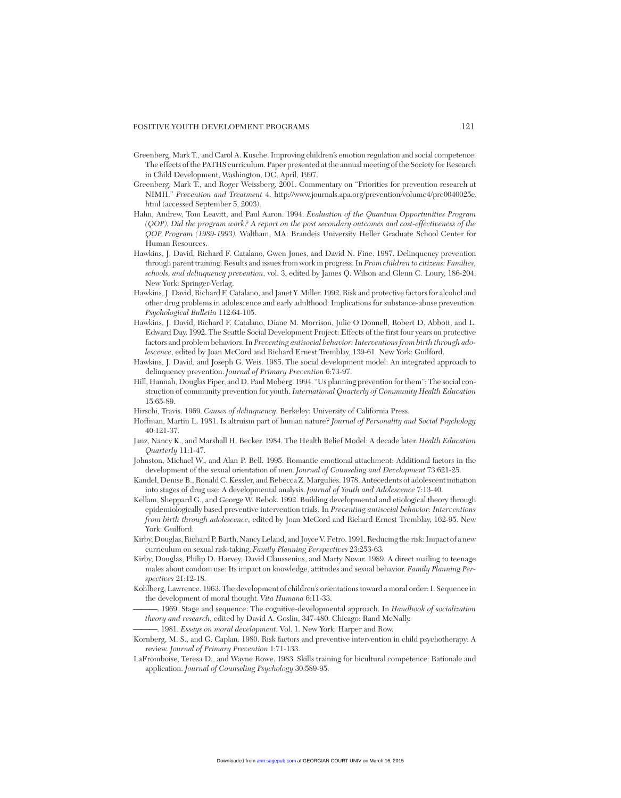- Greenberg, Mark T., and Carol A. Kusche. Improving children's emotion regulation and social competence: The effects of the PATHS curriculum. Paper presented at the annual meeting of the Society for Research in Child Development, Washington, DC, April, 1997.
- Greenberg, Mark T., and Roger Weissberg. 2001. Commentary on "Priorities for prevention research at NIMH." *Prevention and Treatment* 4. http://www.journals.apa.org/prevention/volume4/pre0040025c. html (accessed September 5, 2003).
- Hahn, Andrew, Tom Leavitt, and Paul Aaron. 1994. *Evaluation of the Quantum Opportunities Program (QOP). Did the program work? A report on the post secondary outcomes and cost-effectiveness of the QOP Program (1989-1993)*. Waltham, MA: Brandeis University Heller Graduate School Center for Human Resources.
- Hawkins, J. David, Richard F. Catalano, Gwen Jones, and David N. Fine. 1987. Delinquency prevention through parent training: Results and issues from work in progress. In *From children to citizens: Families, schools, and delinquency prevention*, vol. 3, edited by James Q. Wilson and Glenn C. Loury, 186-204. New York: Springer-Verlag.
- Hawkins, J. David, Richard F. Catalano, and Janet Y. Miller. 1992. Risk and protective factors for alcohol and other drug problems in adolescence and early adulthood: Implications for substance-abuse prevention. *Psychological Bulletin* 112:64-105.
- Hawkins, J. David, Richard F. Catalano, Diane M. Morrison, Julie O'Donnell, Robert D. Abbott, and L. Edward Day. 1992. The Seattle Social Development Project: Effects of the first four years on protective factors and problem behaviors. In *Preventing antisocial behavior: Interventions from birth through adolescence*, edited by Joan McCord and Richard Ernest Tremblay, 139-61. New York: Guilford.
- Hawkins, J. David, and Joseph G. Weis. 1985. The social development model: An integrated approach to delinquency prevention. *Journal of Primary Prevention* 6:73-97.
- Hill, Hannah, Douglas Piper, and D. Paul Moberg. 1994. "Us planning prevention for them": The social construction of community prevention for youth. *International Quarterly of Community Health Education* 15:65-89.
- Hirschi, Travis. 1969. *Causes of delinquency*. Berkeley: University of California Press.
- Hoffman, Martin L. 1981. Is altruism part of human nature? *Journal of Personality and Social Psychology* 40:121-37.
- Janz, Nancy K., and Marshall H. Becker. 1984. The Health Belief Model: A decade later. *Health Education Quarterly* 11:1-47.
- Johnston, Michael W., and Alan P. Bell. 1995. Romantic emotional attachment: Additional factors in the development of the sexual orientation of men.*Journal of Counseling and Development* 73:621-25.
- Kandel, Denise B., Ronald C. Kessler, and Rebecca Z. Margulies. 1978. Antecedents of adolescent initiation into stages of drug use: A developmental analysis.*Journal of Youth and Adolescence* 7:13-40.
- Kellam, Sheppard G., and George W. Rebok. 1992. Building developmental and etiological theory through epidemiologically based preventive intervention trials. In *Preventing antisocial behavior: Interventions from birth through adolescence*, edited by Joan McCord and Richard Ernest Tremblay, 162-95. New York: Guilford.
- Kirby, Douglas, Richard P. Barth, Nancy Leland, and Joyce V. Fetro. 1991. Reducing the risk: Impact of a new curriculum on sexual risk-taking. *Family Planning Perspectives* 23:253-63.
- Kirby, Douglas, Philip D. Harvey, David Claussenius, and Marty Novar. 1989. A direct mailing to teenage males about condom use: Its impact on knowledge, attitudes and sexual behavior. *Family Planning Perspectives* 21:12-18.
- Kohlberg, Lawrence. 1963. The development of children's orientations toward a moral order: I. Sequence in the development of moral thought. *Vita Humana* 6:11-33.
	- . 1969. Stage and sequence: The cognitive-developmental approach. In *Handbook of socialization theory and research*, edited by David A. Goslin, 347-480. Chicago: Rand McNally.
- . 1981. *Essays on moral development*. Vol. 1. New York: Harper and Row.
- Kornberg, M. S., and G. Caplan. 1980. Risk factors and preventive intervention in child psychotherapy: A review. *Journal of Primary Prevention* 1:71-133.
- LaFromboise, Teresa D., and Wayne Rowe. 1983. Skills training for bicultural competence: Rationale and application. *Journal of Counseling Psychology* 30:589-95.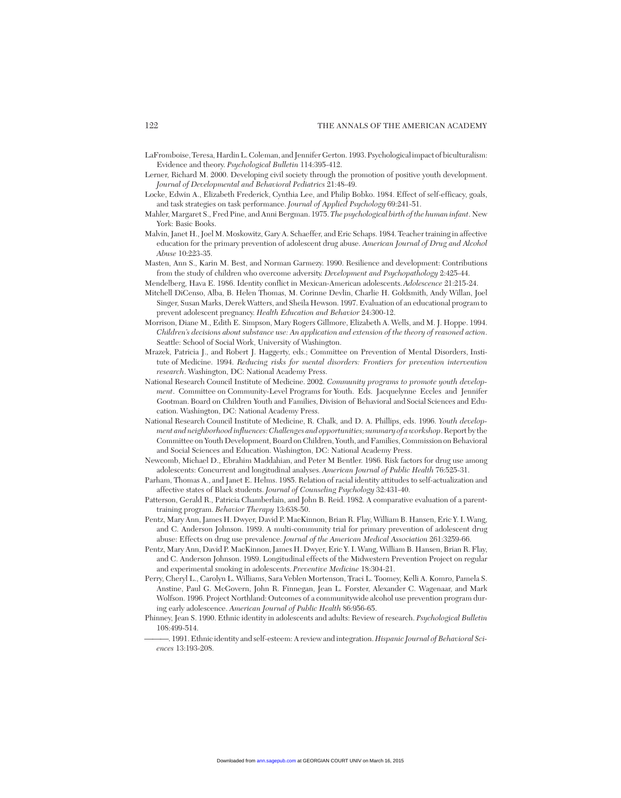- LaFromboise, Teresa, Hardin L. Coleman, and Jennifer Gerton. 1993. Psychological impact of biculturalism: Evidence and theory. *Psychological Bulletin* 114:395-412.
- Lerner, Richard M. 2000. Developing civil society through the promotion of positive youth development. *Journal of Developmental and Behavioral Pediatrics* 21:48-49.
- Locke, Edwin A., Elizabeth Frederick, Cynthia Lee, and Philip Bobko. 1984. Effect of self-efficacy, goals, and task strategies on task performance. *Journal of Applied Psychology* 69:241-51.
- Mahler, Margaret S., Fred Pine, and Anni Bergman. 1975. *The psychological birth of the human infant*. New York: Basic Books.
- Malvin, Janet H., Joel M. Moskowitz, Gary A. Schaeffer, and Eric Schaps. 1984. Teacher training in affective education for the primary prevention of adolescent drug abuse. *American Journal of Drug and Alcohol Abuse* 10:223-35.
- Masten, Ann S., Karin M. Best, and Norman Garmezy. 1990. Resilience and development: Contributions from the study of children who overcome adversity. *Development and Psychopathology* 2:425-44.
- Mendelberg, Hava E. 1986. Identity conflict in Mexican-American adolescents.*Adolescence* 21:215-24.
- Mitchell DiCenso, Alba, B. Helen Thomas, M. Corinne Devlin, Charlie H. Goldsmith, Andy Willan, Joel Singer, Susan Marks, Derek Watters, and Sheila Hewson. 1997. Evaluation of an educational program to prevent adolescent pregnancy. *Health Education and Behavior* 24:300-12.
- Morrison, Diane M., Edith E. Simpson, Mary Rogers Gillmore, Elizabeth A. Wells, and M. J. Hoppe. 1994. *Children's decisions about substance use: An application and extension of the theory of reasoned action*. Seattle: School of Social Work, University of Washington.
- Mrazek, Patricia J., and Robert J. Haggerty, eds.; Committee on Prevention of Mental Disorders, Institute of Medicine. 1994. *Reducing risks for mental disorders: Frontiers for prevention intervention research*. Washington, DC: National Academy Press.
- National Research Council Institute of Medicine. 2002. *Community programs to promote youth development*. Committee on Community-Level Programs for Youth. Eds. Jacquelynne Eccles and Jennifer Gootman. Board on Children Youth and Families, Division of Behavioral and Social Sciences and Education. Washington, DC: National Academy Press.
- National Research Council Institute of Medicine, R. Chalk, and D. A. Phillips, eds. 1996. *Youth development and neighborhood influences: Challenges and opportunities; summary of a workshop*. Report by the Committee on Youth Development, Board on Children, Youth, and Families, Commission on Behavioral and Social Sciences and Education. Washington, DC: National Academy Press.
- Newcomb, Michael D., Ebrahim Maddahian, and Peter M Bentler. 1986. Risk factors for drug use among adolescents: Concurrent and longitudinal analyses.*American Journal of Public Health* 76:525-31.
- Parham, Thomas A., and Janet E. Helms. 1985. Relation of racial identity attitudes to self-actualization and affective states of Black students. *Journal of Counseling Psychology* 32:431-40.
- Patterson, Gerald R., Patricia Chamberlain, and John B. Reid. 1982. A comparative evaluation of a parenttraining program. *Behavior Therapy* 13:638-50.
- Pentz, Mary Ann, James H. Dwyer, David P. MacKinnon, Brian R. Flay, William B. Hansen, Eric Y. I. Wang, and C. Anderson Johnson. 1989. A multi-community trial for primary prevention of adolescent drug abuse: Effects on drug use prevalence. *Journal of the American Medical Association* 261:3259-66.
- Pentz, Mary Ann, David P. MacKinnon, James H. Dwyer, Eric Y. I. Wang, William B. Hansen, Brian R. Flay, and C. Anderson Johnson. 1989. Longitudinal effects of the Midwestern Prevention Project on regular and experimental smoking in adolescents. *Preventive Medicine* 18:304-21.
- Perry, Cheryl L., Carolyn L. Williams, Sara Veblen Mortenson, Traci L. Toomey, Kelli A. Komro, Pamela S. Anstine, Paul G. McGovern, John R. Finnegan, Jean L. Forster, Alexander C. Wagenaar, and Mark Wolfson. 1996. Project Northland: Outcomes of a communitywide alcohol use prevention program during early adolescence. *American Journal of Public Health* 86:956-65.
- Phinney, Jean S. 1990. Ethnic identity in adolescents and adults: Review of research. *Psychological Bulletin* 108:499-514.
	- . 1991. Ethnic identity and self-esteem: A review and integration. *Hispanic Journal of Behavioral Sciences* 13:193-208.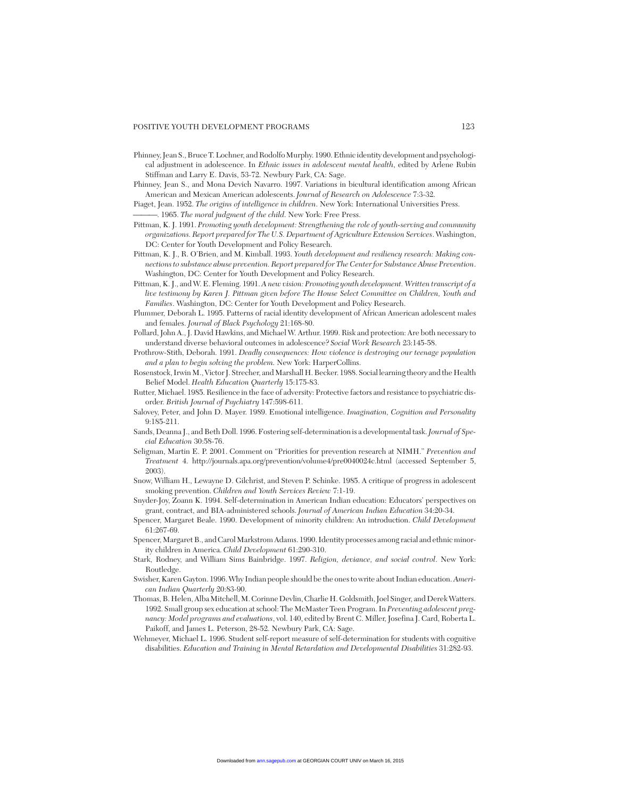- Phinney, Jean S., Bruce T. Lochner, and Rodolfo Murphy. 1990. Ethnic identity development and psychological adjustment in adolescence. In *Ethnic issues in adolescent mental health*, edited by Arlene Rubin Stiffman and Larry E. Davis, 53-72. Newbury Park, CA: Sage.
- Phinney, Jean S., and Mona Devich Navarro. 1997. Variations in bicultural identification among African American and Mexican American adolescents.*Journal of Research on Adolescence* 7:3-32.
- Piaget, Jean. 1952. *The origins of intelligence in children*. New York: International Universities Press.

. 1965. *The moral judgment of the child*. New York: Free Press.

- Pittman, K. J. 1991. *Promoting youth development: Strengthening the role of youth-serving and community organizations. Report prepared for The U.S. Department of Agriculture Extension Services*. Washington, DC: Center for Youth Development and Policy Research.
- Pittman, K. J., R. O'Brien, and M. Kimball. 1993. *Youth development and resiliency research: Making connections to substance abuse prevention. Report prepared for The Center for Substance Abuse Prevention*. Washington, DC: Center for Youth Development and Policy Research.
- Pittman, K. J., and W. E. Fleming. 1991.*A new vision: Promoting youth development. Written transcript of a live testimony by Karen J. Pittman given before The House Select Committee on Children, Youth and Families*. Washington, DC: Center for Youth Development and Policy Research.
- Plummer, Deborah L. 1995. Patterns of racial identity development of African American adolescent males and females. *Journal of Black Psychology* 21:168-80.
- Pollard, John A., J. David Hawkins, and Michael W. Arthur. 1999. Risk and protection: Are both necessary to understand diverse behavioral outcomes in adolescence? *Social Work Research* 23:145-58.
- Prothrow-Stith, Deborah. 1991. *Deadly consequences: How violence is destroying our teenage population and a plan to begin solving the problem*. New York: HarperCollins.
- Rosenstock, Irwin M., Victor J. Strecher, and Marshall H. Becker. 1988. Social learning theory and the Health Belief Model. *Health Education Quarterly* 15:175-83.
- Rutter, Michael. 1985. Resilience in the face of adversity: Protective factors and resistance to psychiatric disorder. *British Journal of Psychiatry* 147:598-611.
- Salovey, Peter, and John D. Mayer. 1989. Emotional intelligence. *Imagination, Cognition and Personality* 9:185-211.
- Sands, Deanna J., and Beth Doll. 1996. Fostering self-determination is a developmental task.*Journal of Special Education* 30:58-76.
- Seligman, Martin E. P. 2001. Comment on "Priorities for prevention research at NIMH." *Prevention and Treatment* 4. http://journals.apa.org/prevention/volume4/pre0040024c.html (accessed September 5, 2003).
- Snow, William H., Lewayne D. Gilchrist, and Steven P. Schinke. 1985. A critique of progress in adolescent smoking prevention. *Children and Youth Services Review* 7:1-19.
- Snyder-Joy, Zoann K. 1994. Self-determination in American Indian education: Educators' perspectives on grant, contract, and BIA-administered schools.*Journal of American Indian Education* 34:20-34.
- Spencer, Margaret Beale. 1990. Development of minority children: An introduction. *Child Development* 61:267-69.
- Spencer, Margaret B., and Carol Markstrom Adams. 1990. Identity processes among racial and ethnic minority children in America. *Child Development* 61:290-310.
- Stark, Rodney, and William Sims Bainbridge. 1997. *Religion, deviance, and social control*. New York: Routledge.
- Swisher, Karen Gayton. 1996. Why Indian people should be the ones to write about Indian education.*American Indian Quarterly* 20:83-90.
- Thomas, B. Helen, Alba Mitchell, M. Corinne Devlin, Charlie H. Goldsmith, Joel Singer, and Derek Watters. 1992. Small group sex education at school: The McMaster Teen Program. In *Preventing adolescent pregnancy: Model programs and evaluations*, vol. 140, edited by Brent C. Miller, Josefina J. Card, Roberta L. Paikoff, and James L. Peterson, 28-52. Newbury Park, CA: Sage.
- Wehmeyer, Michael L. 1996. Student self-report measure of self-determination for students with cognitive disabilities. *Education and Training in Mental Retardation and Developmental Disabilities* 31:282-93.